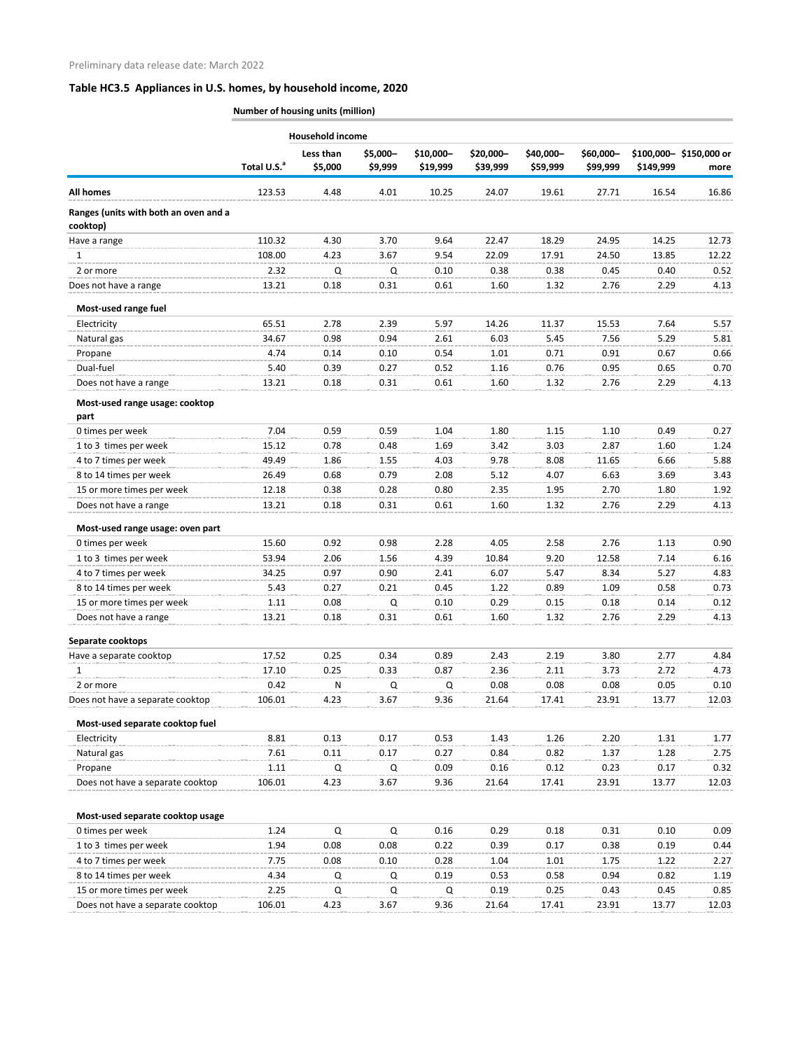|                                                   |                         | Household income     |                     |                       |                       |                       |                       |           |                                |
|---------------------------------------------------|-------------------------|----------------------|---------------------|-----------------------|-----------------------|-----------------------|-----------------------|-----------|--------------------------------|
|                                                   | Total U.S. <sup>a</sup> | Less than<br>\$5,000 | \$5,000-<br>\$9,999 | \$10,000-<br>\$19,999 | \$20,000-<br>\$39,999 | \$40,000-<br>\$59,999 | \$60,000-<br>\$99,999 | \$149,999 | \$100,000-\$150,000 or<br>more |
| <b>All homes</b>                                  | 123.53                  | 4.48                 | 4.01                | 10.25                 | 24.07                 | 19.61                 | 27.71                 | 16.54     | 16.86                          |
| Ranges (units with both an oven and a<br>cooktop) |                         |                      |                     |                       |                       |                       |                       |           |                                |
| Have a range                                      | 110.32                  | 4.30                 | 3.70                | 9.64                  | 22.47                 | 18.29                 | 24.95                 | 14.25     | 12.73                          |
| 1                                                 | 108.00                  | 4.23                 | 3.67                | 9.54                  | 22.09                 | 17.91                 | 24.50                 | 13.85     | 12.22                          |
| 2 or more                                         | 2.32                    | Q                    | Q                   | 0.10                  | 0.38                  | 0.38                  | 0.45                  | 0.40      | 0.52                           |
| Does not have a range                             | 13.21                   | 0.18                 | 0.31                | 0.61                  | 1.60                  | 1.32                  | 2.76                  | 2.29      | 4.13                           |
| Most-used range fuel                              |                         |                      |                     |                       |                       |                       |                       |           |                                |
| Electricity                                       | 65.51                   | 2.78                 | 2.39                | 5.97                  | 14.26                 | 11.37                 | 15.53                 | 7.64      | 5.57                           |
| Natural gas                                       | 34.67                   | 0.98                 | 0.94                | 2.61                  | 6.03                  | 5.45                  | 7.56                  | 5.29      | 5.81                           |
| Propane                                           | 4.74                    | 0.14                 | 0.10                | 0.54                  | 1.01                  | 0.71                  | 0.91                  | 0.67      | 0.66                           |
| Dual-fuel                                         | 5.40                    | 0.39                 | 0.27                | 0.52                  | 1.16                  | 0.76                  | 0.95                  | 0.65      | 0.70                           |
| Does not have a range                             | 13.21                   | 0.18                 | 0.31                | 0.61                  | 1.60                  | 1.32                  | 2.76                  | 2.29      | 4.13                           |
| Most-used range usage: cooktop<br>part            |                         |                      |                     |                       |                       |                       |                       |           |                                |
| 0 times per week                                  | 7.04                    | 0.59                 | 0.59                | 1.04                  | 1.80                  | 1.15                  | 1.10                  | 0.49      | 0.27                           |
| 1 to 3 times per week                             | 15.12                   | 0.78                 | 0.48                | 1.69                  | 3.42                  | 3.03                  | 2.87                  | 1.60      | 1.24                           |
| 4 to 7 times per week                             | 49.49                   | 1.86                 | 1.55                | 4.03                  | 9.78                  | 8.08                  | 11.65                 | 6.66      | 5.88                           |
| 8 to 14 times per week                            | 26.49                   | 0.68                 | 0.79                | 2.08                  | 5.12                  | 4.07                  | 6.63                  | 3.69      | 3.43                           |
| 15 or more times per week                         | 12.18                   | 0.38                 | 0.28                | 0.80                  | 2.35                  | 1.95                  | 2.70                  | 1.80      | 1.92                           |
| Does not have a range                             | 13.21                   | 0.18                 | 0.31                | 0.61                  | 1.60                  | 1.32                  | 2.76                  | 2.29      | 4.13                           |
| Most-used range usage: oven part                  |                         |                      |                     |                       |                       |                       |                       |           |                                |
| 0 times per week                                  | 15.60                   | 0.92                 | 0.98                | 2.28                  | 4.05                  | 2.58                  | 2.76                  | 1.13      | 0.90                           |
| 1 to 3 times per week                             | 53.94                   | 2.06                 | 1.56                | 4.39                  | 10.84                 | 9.20                  | 12.58                 | 7.14      | 6.16                           |
| 4 to 7 times per week                             | 34.25                   | 0.97                 | 0.90                | 2.41                  | 6.07                  | 5.47                  | 8.34                  | 5.27      | 4.83                           |
| 8 to 14 times per week                            | 5.43                    | 0.27                 | 0.21                | 0.45                  | 1.22                  | 0.89                  | 1.09                  | 0.58      | 0.73                           |
| 15 or more times per week                         | 1.11                    | 0.08                 | Q                   | 0.10                  | 0.29                  | 0.15                  | 0.18                  | 0.14      | 0.12                           |
| Does not have a range                             | 13.21                   | 0.18                 | 0.31                | 0.61                  | 1.60                  | 1.32                  | 2.76                  | 2.29      | 4.13                           |
| Separate cooktops                                 |                         |                      |                     |                       |                       |                       |                       |           |                                |
| Have a separate cooktop                           | 17.52                   | 0.25                 | 0.34                | 0.89                  | 2.43                  | 2.19                  | 3.80                  | 2.77      | 4.84                           |
| 1                                                 | 17.10                   | 0.25                 | 0.33                | 0.87                  | 2.36                  | 2.11                  | 3.73                  | 2.72      | 4.73                           |
| 2 or more                                         | 0.42                    | N                    | Q                   | Q                     | 0.08                  | 0.08                  | 0.08                  | 0.05      | 0.10                           |
| Does not have a separate cooktop                  | 106.01                  | 4.23                 | 3.67                | 9.36                  | 21.64                 | 17.41                 | 23.91                 | 13.77     | 12.03                          |
| Most-used separate cooktop fuel                   |                         |                      |                     |                       |                       |                       |                       |           |                                |
| Electricity                                       | 8.81                    | 0.13                 | 0.17                | 0.53                  | 1.43                  | 1.26                  | 2.20                  | 1.31      | 1.77                           |
| Natural gas                                       | 7.61                    | 0.11                 | 0.17                | 0.27                  | 0.84                  | 0.82                  | 1.37                  | 1.28      | 2.75                           |
| Propane                                           | 1.11                    | Q                    | Q                   | 0.09                  | 0.16                  | 0.12                  | 0.23                  | 0.17      | 0.32                           |
| Does not have a separate cooktop                  | 106.01                  | 4.23                 | 3.67                | 9.36                  | 21.64                 | 17.41                 | 23.91                 | 13.77     | 12.03                          |
| Most-used separate cooktop usage                  |                         |                      |                     |                       |                       |                       |                       |           |                                |
| 0 times per week                                  | 1.24                    | Q                    | Q                   | 0.16                  | 0.29                  | 0.18                  | 0.31                  | 0.10      | 0.09                           |
| 1 to 3 times per week                             | 1.94                    | 0.08                 | 0.08                | 0.22                  | 0.39                  | 0.17                  | 0.38                  | 0.19      | 0.44                           |
| 4 to 7 times per week                             | 7.75                    | 0.08                 | 0.10                | 0.28                  | 1.04                  | 1.01                  | 1.75                  | 1.22      | 2.27                           |
| 8 to 14 times per week                            | 4.34                    | Q                    | Q                   | 0.19                  | 0.53                  | 0.58                  | 0.94                  | 0.82      | 1.19                           |
| 15 or more times per week                         | 2.25                    | Q                    | Q                   | Q                     | 0.19                  | 0.25                  | 0.43                  | 0.45      | 0.85                           |
| Does not have a separate cooktop                  | 106.01                  | 4.23                 | 3.67                | 9.36                  | 21.64                 | 17.41                 | 23.91                 | 13.77     | 12.03                          |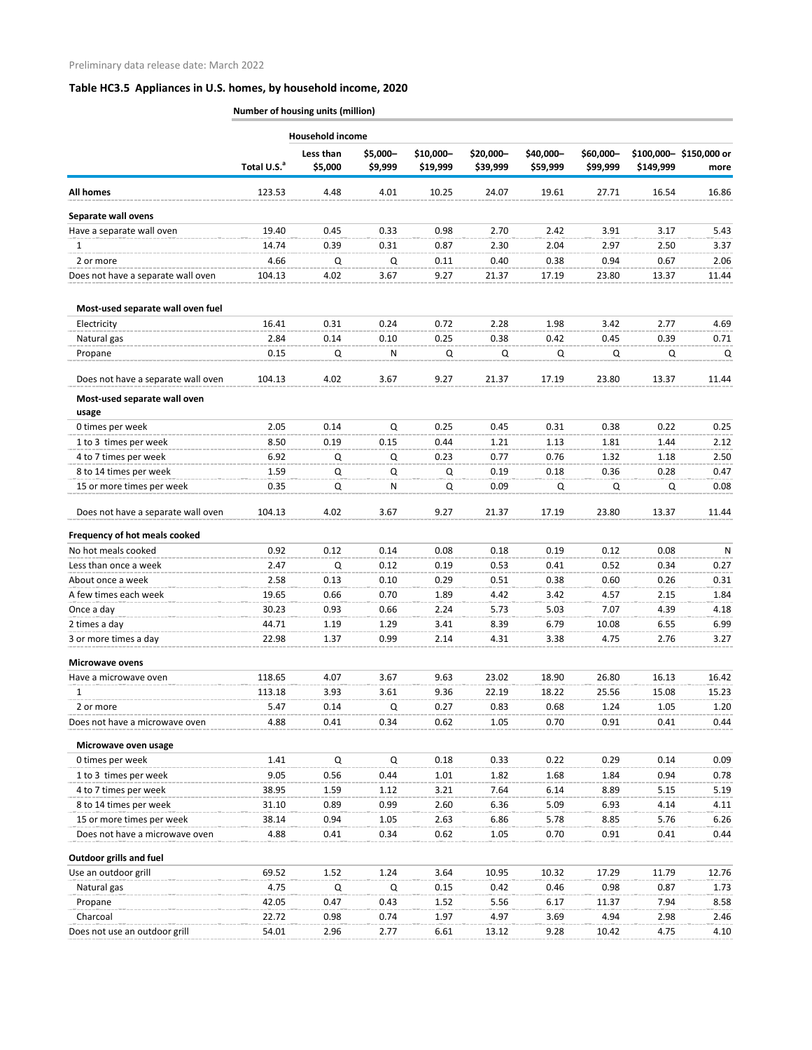|                                    | <b>Number of housing units (million)</b> |                         |                     |                       |                       |                       |                       |           |                                |
|------------------------------------|------------------------------------------|-------------------------|---------------------|-----------------------|-----------------------|-----------------------|-----------------------|-----------|--------------------------------|
|                                    |                                          | <b>Household income</b> |                     |                       |                       |                       |                       |           |                                |
|                                    | Total U.S. <sup>a</sup>                  | Less than<br>\$5,000    | \$5,000-<br>\$9,999 | \$10,000-<br>\$19,999 | \$20,000-<br>\$39,999 | \$40,000-<br>\$59,999 | \$60,000-<br>\$99,999 | \$149,999 | \$100,000-\$150,000 or<br>more |
| <b>All homes</b>                   | 123.53                                   | 4.48                    | 4.01                | 10.25                 | 24.07                 | 19.61                 | 27.71                 | 16.54     | 16.86                          |
| Separate wall ovens                |                                          |                         |                     |                       |                       |                       |                       |           |                                |
| Have a separate wall oven          | 19.40                                    | 0.45                    | 0.33                | 0.98                  | 2.70                  | 2.42                  | 3.91                  | 3.17      | 5.43                           |
| $\mathbf{1}$                       | 14.74                                    | 0.39                    | 0.31                | 0.87                  | 2.30                  | 2.04                  | 2.97                  | 2.50      | 3.37                           |
| 2 or more                          | 4.66                                     | Q                       | Q                   | 0.11                  | 0.40                  | 0.38                  | 0.94                  | 0.67      | 2.06                           |
| Does not have a separate wall oven | 104.13                                   | 4.02                    | 3.67                | 9.27                  | 21.37                 | 17.19                 | 23.80                 | 13.37     | 11.44                          |
| Most-used separate wall oven fuel  |                                          |                         |                     |                       |                       |                       |                       |           |                                |
| Electricity                        | 16.41                                    | 0.31                    | 0.24                | 0.72                  | 2.28                  | 1.98                  | 3.42                  | 2.77      | 4.69                           |
| Natural gas                        | 2.84                                     | 0.14                    | 0.10                | 0.25                  | 0.38                  | 0.42                  | 0.45                  | 0.39      | 0.71                           |
| Propane                            | 0.15                                     | Q                       | N                   | Q                     | Q                     | Q                     | Q                     | Q         | Q                              |
| Does not have a separate wall oven | 104.13                                   | 4.02                    | 3.67                | 9.27                  | 21.37                 | 17.19                 | 23.80                 | 13.37     | 11.44                          |
| Most-used separate wall oven       |                                          |                         |                     |                       |                       |                       |                       |           |                                |
| usage                              |                                          |                         |                     |                       |                       |                       |                       |           |                                |
| 0 times per week                   | 2.05                                     | 0.14                    | $\Omega$            | 0.25                  | 0.45                  | 0.31                  | 0.38                  | 0.22      | 0.25                           |
| 1 to 3 times per week              | 8.50                                     | 0.19                    | 0.15                | 0.44                  | 1.21                  | 1.13                  | 1.81                  | 1.44      | 2.12                           |
| 4 to 7 times per week              | 6.92                                     | Q                       | Q                   | 0.23                  | 0.77                  | 0.76                  | 1.32                  | 1.18      | 2.50                           |
| 8 to 14 times per week             | 1.59                                     | Q                       | Q                   | Q                     | 0.19                  | 0.18                  | 0.36                  | 0.28      | 0.47                           |
| 15 or more times per week          | 0.35                                     | Q                       | N                   | Q                     | 0.09                  | Q                     | Q                     | Q         | 0.08                           |
| Does not have a separate wall oven | 104.13                                   | 4.02                    | 3.67                | 9.27                  | 21.37                 | 17.19                 | 23.80                 | 13.37     | 11.44                          |
| Frequency of hot meals cooked      |                                          |                         |                     |                       |                       |                       |                       |           |                                |
| No hot meals cooked                | 0.92                                     | 0.12                    | 0.14                | 0.08                  | 0.18                  | 0.19                  | 0.12                  | 0.08      | N                              |
| Less than once a week              | 2.47                                     | Q                       | 0.12                | 0.19                  | 0.53                  | 0.41                  | 0.52                  | 0.34      | 0.27                           |
| About once a week                  | 2.58                                     | 0.13                    | 0.10                | 0.29                  | 0.51                  | 0.38                  | 0.60                  | 0.26      | 0.31                           |
| A few times each week              | 19.65                                    | 0.66                    | 0.70                | 1.89                  | 4.42                  | 3.42                  | 4.57                  | 2.15      | 1.84                           |
| Once a day                         | 30.23                                    | 0.93                    | 0.66                | 2.24                  | 5.73                  | 5.03                  | 7.07                  | 4.39      | 4.18                           |
| 2 times a day                      | 44.71                                    | 1.19                    | 1.29                | 3.41                  | 8.39                  | 6.79                  | 10.08                 | 6.55      | 6.99                           |
| 3 or more times a day              | 22.98                                    | 1.37                    | 0.99                | 2.14                  | 4.31                  | 3.38                  | 4.75                  | 2.76      | 3.27                           |
| <b>Microwave ovens</b>             |                                          |                         |                     |                       |                       |                       |                       |           |                                |
| Have a microwave oven              | 118.65                                   | 4.07                    | 3.67                | 9.63                  | 23.02                 | 18.90                 | 26.80                 | 16.13     | 16.42                          |
| 1                                  | 113.18                                   | 3.93                    | 3.61                | 9.36                  | 22.19                 | 18.22                 | 25.56                 | 15.08     | 15.23                          |
| 2 or more                          | 5.47                                     | 0.14                    | Q                   | 0.27                  | 0.83                  | 0.68                  | 1.24                  | 1.05      | 1.20                           |
| Does not have a microwave oven     | 4.88                                     | 0.41                    | 0.34                | 0.62                  | 1.05                  | 0.70                  | 0.91                  | 0.41      | 0.44                           |
| Microwave oven usage               |                                          |                         |                     |                       |                       |                       |                       |           |                                |
| 0 times per week                   | 1.41                                     | Q                       | Q                   | 0.18                  | 0.33                  | 0.22                  | 0.29                  | 0.14      | 0.09                           |
| 1 to 3 times per week              | 9.05                                     | 0.56                    | 0.44                | 1.01                  | 1.82                  | 1.68                  | 1.84                  | 0.94      | 0.78                           |
| 4 to 7 times per week              | 38.95                                    | 1.59                    | 1.12                | 3.21                  | 7.64                  | 6.14                  | 8.89                  | 5.15      | 5.19                           |
| 8 to 14 times per week             | 31.10                                    | 0.89                    | 0.99                | 2.60                  | 6.36                  | 5.09                  | 6.93                  | 4.14      | 4.11                           |
| 15 or more times per week          | 38.14                                    | 0.94                    | 1.05                | 2.63                  | 6.86                  | 5.78                  | 8.85                  | 5.76      | 6.26                           |
| Does not have a microwave oven     | 4.88                                     | 0.41                    | 0.34                | 0.62                  | 1.05                  | 0.70                  | 0.91                  | 0.41      | 0.44                           |
| <b>Outdoor grills and fuel</b>     |                                          |                         |                     |                       |                       |                       |                       |           |                                |
| Use an outdoor grill               | 69.52                                    | 1.52                    | 1.24                | 3.64                  | 10.95                 | 10.32                 | 17.29                 | 11.79     | 12.76                          |
| Natural gas                        | 4.75                                     | $\Omega$                | Q                   | 0.15                  | 0.42                  | 0.46                  | 0.98                  | 0.87      | 1.73                           |
| Propane                            | 42.05                                    | 0.47                    | 0.43                | 1.52                  | 5.56                  | 6.17                  | 11.37                 | 7.94      | 8.58                           |
| Charcoal                           | 22.72                                    | 0.98                    | 0.74                | 1.97                  | 4.97                  | 3.69                  | 4.94                  | 2.98      | 2.46                           |
| Does not use an outdoor grill      | 54.01                                    | 2.96                    | 2.77                | 6.61                  | 13.12                 | 9.28                  | 10.42                 | 4.75      | 4.10                           |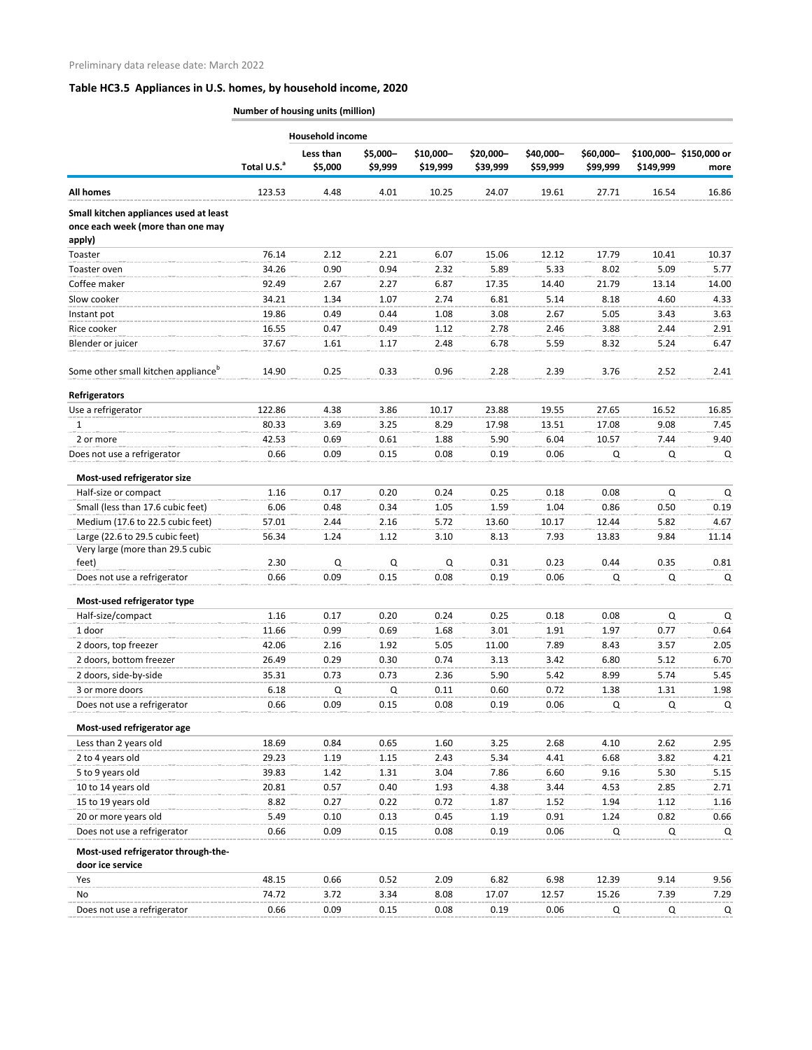|                                                                                       | <b>Household income</b> |                      |                     |                       |                       |                       |                       |              |                                |
|---------------------------------------------------------------------------------------|-------------------------|----------------------|---------------------|-----------------------|-----------------------|-----------------------|-----------------------|--------------|--------------------------------|
|                                                                                       | Total U.S. <sup>a</sup> | Less than<br>\$5,000 | \$5,000-<br>\$9,999 | \$10,000-<br>\$19,999 | \$20,000-<br>\$39,999 | \$40,000-<br>\$59,999 | \$60,000-<br>\$99,999 | \$149,999    | \$100,000-\$150,000 or<br>more |
| <b>All homes</b>                                                                      | 123.53                  | 4.48                 | 4.01                | 10.25                 | 24.07                 | 19.61                 | 27.71                 | 16.54        | 16.86                          |
| Small kitchen appliances used at least<br>once each week (more than one may<br>apply) |                         |                      |                     |                       |                       |                       |                       |              |                                |
| Toaster                                                                               | 76.14                   | 2.12                 | 2.21                | 6.07                  | 15.06                 | 12.12                 | 17.79                 | 10.41        | 10.37                          |
| Toaster oven                                                                          | 34.26                   | 0.90                 | 0.94                | 2.32                  | 5.89                  | 5.33                  | 8.02                  | 5.09         | 5.77                           |
| Coffee maker                                                                          | 92.49                   | 2.67                 | 2.27                | 6.87                  | 17.35                 | 14.40                 | 21.79                 | 13.14        | 14.00                          |
| Slow cooker                                                                           | 34.21                   | 1.34                 | 1.07                | 2.74                  | 6.81                  | 5.14                  | 8.18                  | 4.60         | 4.33                           |
| Instant pot                                                                           | 19.86                   | 0.49                 | 0.44                | 1.08                  | 3.08                  | 2.67                  | 5.05                  | 3.43         | 3.63                           |
| Rice cooker                                                                           | 16.55                   | 0.47                 | 0.49                | 1.12                  | 2.78                  | 2.46                  | 3.88                  | 2.44         | 2.91                           |
| Blender or juicer                                                                     | 37.67                   | 1.61                 | 1.17                | 2.48                  | 6.78                  | 5.59                  | 8.32                  | 5.24         | 6.47                           |
| Some other small kitchen appliance <sup>b</sup>                                       | 14.90                   | 0.25                 | 0.33                | 0.96                  | 2.28                  | 2.39                  | 3.76                  | 2.52         | 2.41                           |
| <b>Refrigerators</b>                                                                  |                         |                      |                     |                       |                       |                       |                       |              |                                |
| Use a refrigerator                                                                    | 122.86                  | 4.38                 | 3.86                | 10.17                 | 23.88                 | 19.55                 | 27.65                 | 16.52        | 16.85                          |
| $\mathbf{1}$                                                                          | 80.33                   | 3.69                 | 3.25                | 8.29                  | 17.98                 | 13.51                 | 17.08                 | 9.08         | 7.45                           |
| 2 or more                                                                             | 42.53                   | 0.69                 | 0.61                | 1.88                  | 5.90                  | 6.04                  | 10.57                 | 7.44         | 9.40                           |
| Does not use a refrigerator                                                           | 0.66                    | 0.09                 | 0.15                | 0.08                  | 0.19                  | 0.06                  | Q                     | Q            | Q                              |
| Most-used refrigerator size                                                           |                         |                      |                     |                       |                       |                       |                       |              |                                |
| Half-size or compact                                                                  | 1.16                    | 0.17                 | 0.20                | 0.24                  | 0.25                  | 0.18                  | 0.08                  | Q            | Q                              |
| Small (less than 17.6 cubic feet)                                                     | 6.06                    | 0.48                 | 0.34                | 1.05                  | 1.59                  | 1.04                  | 0.86                  | 0.50         | 0.19                           |
| Medium (17.6 to 22.5 cubic feet)                                                      | 57.01                   | 2.44                 | 2.16                | 5.72                  | 13.60                 | 10.17                 | 12.44                 | 5.82         | 4.67                           |
| Large (22.6 to 29.5 cubic feet)                                                       | 56.34                   | 1.24                 | 1.12                | 3.10                  | 8.13                  | 7.93                  | 13.83                 | 9.84         | 11.14                          |
| Very large (more than 29.5 cubic                                                      |                         |                      |                     |                       |                       |                       |                       |              |                                |
| feet)                                                                                 | 2.30                    | Q                    | Q                   | Q                     | 0.31                  | 0.23                  | 0.44                  | 0.35         | 0.81                           |
| Does not use a refrigerator                                                           | 0.66                    | 0.09                 | 0.15                | 0.08                  | 0.19                  | 0.06                  | Q                     | Q            | Q                              |
| Most-used refrigerator type                                                           |                         |                      |                     |                       |                       |                       |                       |              |                                |
| Half-size/compact                                                                     | 1.16                    | 0.17                 | 0.20                | 0.24                  | 0.25                  | 0.18                  | 0.08                  | Q            | $\mathsf Q$                    |
| 1 door                                                                                | 11.66                   | 0.99                 | 0.69                | 1.68                  | 3.01                  | 1.91                  | 1.97                  | 0.77         | 0.64                           |
| 2 doors, top freezer                                                                  | 42.06                   | 2.16                 | 1.92                | 5.05                  | 11.00                 | 7.89                  | 8.43                  | 3.57         | 2.05                           |
| 2 doors, bottom freezer                                                               | 26.49                   | 0.29<br>0.73         | 0.30<br>0.73        | 0.74<br>2.36          | 3.13<br>5.90          | 3.42<br>5.42          | 6.80<br>8.99          | 5.12<br>5.74 | 6.70                           |
| 2 doors, side-by-side                                                                 | 35.31                   |                      |                     |                       |                       |                       |                       |              | 5.45                           |
| 3 or more doors<br>Does not use a refrigerator                                        | 6.18<br>0.66            | Q<br>0.09            | Q<br>0.15           | 0.11<br>0.08          | 0.60<br>0.19          | 0.72<br>0.06          | 1.38<br>Q             | 1.31<br>Q    | 1.98<br>Q                      |
| Most-used refrigerator age                                                            |                         |                      |                     |                       |                       |                       |                       |              |                                |
| Less than 2 years old                                                                 | 18.69                   | 0.84                 | 0.65                | 1.60                  | 3.25                  | 2.68                  | 4.10                  | 2.62         | 2.95                           |
| 2 to 4 years old                                                                      | 29.23                   | 1.19                 | 1.15                | 2.43                  | 5.34                  | 4.41                  | 6.68                  | 3.82         | 4.21                           |
| 5 to 9 years old                                                                      | 39.83                   | 1.42                 | 1.31                | 3.04                  | 7.86                  | 6.60                  | 9.16                  | 5.30         | 5.15                           |
| 10 to 14 years old                                                                    | 20.81                   | 0.57                 | 0.40                | 1.93                  | 4.38                  | 3.44                  | 4.53                  | 2.85         | 2.71                           |
| 15 to 19 years old                                                                    | 8.82                    | 0.27                 | 0.22                | 0.72                  | 1.87                  | 1.52                  | 1.94                  | 1.12         | 1.16                           |
| 20 or more years old                                                                  | 5.49                    | 0.10                 | 0.13                | 0.45                  | 1.19                  | 0.91                  | 1.24                  | 0.82         | 0.66                           |
| Does not use a refrigerator                                                           | 0.66                    | 0.09                 | 0.15                | 0.08                  | 0.19                  | 0.06                  | Q                     | Q            | Q                              |
| Most-used refrigerator through-the-                                                   |                         |                      |                     |                       |                       |                       |                       |              |                                |
| door ice service                                                                      |                         |                      |                     |                       |                       |                       |                       |              |                                |
| Yes                                                                                   | 48.15                   | 0.66                 | 0.52                | 2.09                  | 6.82                  | 6.98                  | 12.39                 | 9.14         | 9.56                           |
| No                                                                                    | 74.72                   | 3.72                 | 3.34                | 8.08                  | 17.07                 | 12.57                 | 15.26                 | 7.39         | 7.29                           |
| Does not use a refrigerator                                                           | 0.66                    | 0.09                 | 0.15                | 0.08                  | 0.19                  | 0.06                  | Q                     | Q            | Q                              |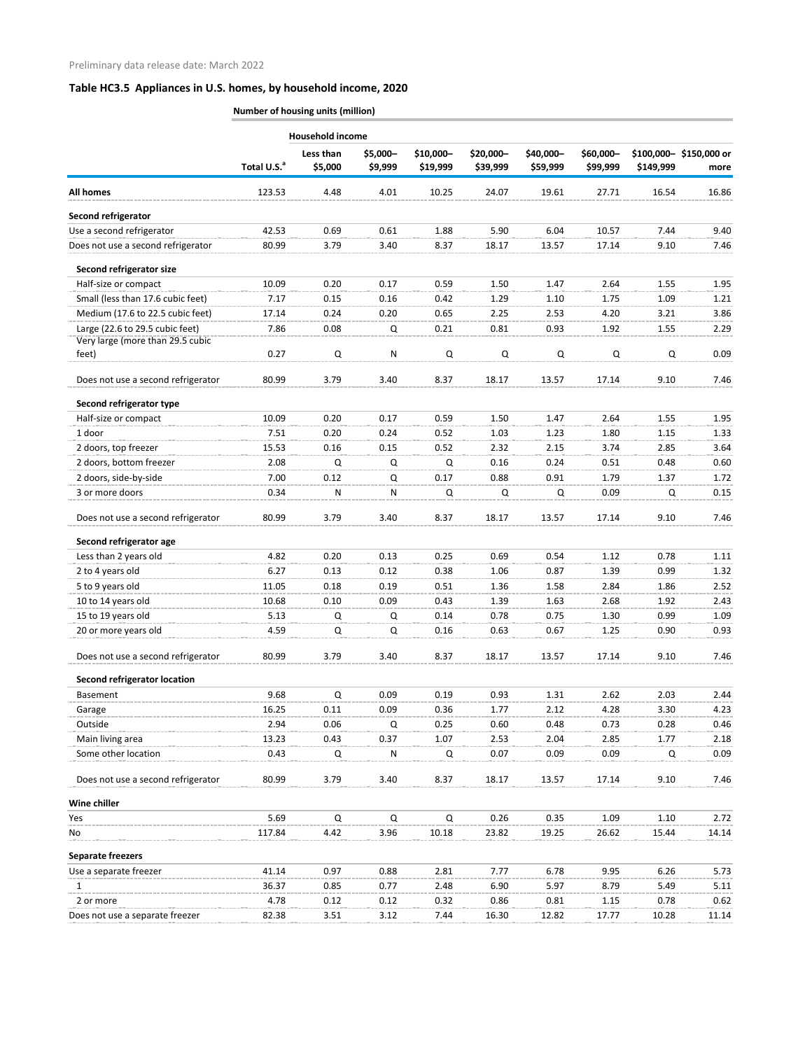|                                           |                         | <b>Household income</b> |                     |                       |                       |                       |                       |             |                                |
|-------------------------------------------|-------------------------|-------------------------|---------------------|-----------------------|-----------------------|-----------------------|-----------------------|-------------|--------------------------------|
|                                           | Total U.S. <sup>a</sup> | Less than<br>\$5,000    | \$5,000-<br>\$9,999 | \$10,000-<br>\$19,999 | \$20,000-<br>\$39,999 | \$40,000-<br>\$59,999 | \$60,000-<br>\$99,999 | \$149,999   | \$100,000-\$150,000 or<br>more |
| <b>All homes</b>                          | 123.53                  | 4.48                    | 4.01                | 10.25                 | 24.07                 | 19.61                 | 27.71                 | 16.54       | 16.86                          |
| Second refrigerator                       |                         |                         |                     |                       |                       |                       |                       |             |                                |
| Use a second refrigerator                 | 42.53                   | 0.69                    | 0.61                | 1.88                  | 5.90                  | 6.04                  | 10.57                 | 7.44        | 9.40                           |
| Does not use a second refrigerator        | 80.99                   | 3.79                    | 3.40                | 8.37                  | 18.17                 | 13.57                 | 17.14                 | 9.10        | 7.46                           |
|                                           |                         |                         |                     |                       |                       |                       |                       |             |                                |
| Second refrigerator size                  |                         |                         |                     |                       |                       |                       |                       |             |                                |
| Half-size or compact                      | 10.09                   | 0.20                    | 0.17                | 0.59                  | 1.50                  | 1.47                  | 2.64                  | 1.55        | 1.95                           |
| Small (less than 17.6 cubic feet)         | 7.17                    | 0.15                    | 0.16                | 0.42                  | 1.29                  | 1.10                  | 1.75                  | 1.09        | 1.21                           |
| Medium (17.6 to 22.5 cubic feet)          | 17.14                   | 0.24                    | 0.20                | 0.65                  | 2.25                  | 2.53                  | 4.20                  | 3.21        | 3.86                           |
| Large (22.6 to 29.5 cubic feet)           | 7.86                    | 0.08                    | Q                   | 0.21                  | 0.81                  | 0.93                  | 1.92                  | 1.55        | 2.29                           |
| Very large (more than 29.5 cubic<br>feet) | 0.27                    | Q                       | N                   | Q                     | Q                     | Q                     | Q                     | Q           | 0.09                           |
|                                           |                         |                         |                     |                       |                       |                       |                       |             |                                |
| Does not use a second refrigerator        | 80.99                   | 3.79                    | 3.40                | 8.37                  | 18.17                 | 13.57                 | 17.14                 | 9.10        | 7.46                           |
| Second refrigerator type                  |                         |                         |                     |                       |                       |                       |                       |             |                                |
| Half-size or compact                      | 10.09                   | 0.20                    | 0.17                | 0.59                  | 1.50                  | 1.47                  | 2.64                  | 1.55        | 1.95                           |
| 1 door                                    | 7.51                    | 0.20                    | 0.24                | 0.52                  | 1.03                  | 1.23                  | 1.80                  | 1.15        | 1.33                           |
| 2 doors, top freezer                      | 15.53                   | 0.16                    | 0.15                | 0.52                  | 2.32                  | 2.15                  | 3.74                  | 2.85        | 3.64                           |
| 2 doors, bottom freezer                   | 2.08                    | Q                       | Q                   | Q                     | 0.16                  | 0.24                  | 0.51                  | 0.48        | 0.60                           |
| 2 doors, side-by-side                     | 7.00                    | 0.12                    | Q                   | 0.17                  | 0.88                  | 0.91                  | 1.79                  | 1.37        | 1.72                           |
| 3 or more doors                           | 0.34                    | ${\sf N}$               | N                   | Q                     | $\mathsf Q$           | Q                     | 0.09                  | $\mathsf Q$ | 0.15                           |
| Does not use a second refrigerator        | 80.99                   | 3.79                    | 3.40                | 8.37                  | 18.17                 | 13.57                 | 17.14                 | 9.10        | 7.46                           |
| Second refrigerator age                   |                         |                         |                     |                       |                       |                       |                       |             |                                |
| Less than 2 years old                     | 4.82                    | 0.20                    | 0.13                | 0.25                  | 0.69                  | 0.54                  | 1.12                  | 0.78        | 1.11                           |
| 2 to 4 years old                          | 6.27                    | 0.13                    | 0.12                | 0.38                  | 1.06                  | 0.87                  | 1.39                  | 0.99        | 1.32                           |
| 5 to 9 years old                          | 11.05                   | 0.18                    | 0.19                | 0.51                  | 1.36                  | 1.58                  | 2.84                  | 1.86        | 2.52                           |
| 10 to 14 years old                        | 10.68                   | 0.10                    | 0.09                | 0.43                  | 1.39                  | 1.63                  | 2.68                  | 1.92        | 2.43                           |
| 15 to 19 years old                        | 5.13                    | Q                       | Q                   | 0.14                  | 0.78                  | 0.75                  | 1.30                  | 0.99        | 1.09                           |
| 20 or more years old                      | 4.59                    | Q                       | Q                   | 0.16                  | 0.63                  | 0.67                  | 1.25                  | 0.90        | 0.93                           |
| Does not use a second refrigerator        | 80.99                   | 3.79                    | 3.40                | 8.37                  | 18.17                 | 13.57                 | 17.14                 | 9.10        | 7.46                           |
| <b>Second refrigerator location</b>       |                         |                         |                     |                       |                       |                       |                       |             |                                |
| Basement                                  | 9.68                    | Q                       | 0.09                | 0.19                  | 0.93                  | 1.31                  | 2.62                  | 2.03        | 2.44                           |
| Garage                                    | 16.25                   | 0.11                    | 0.09                | 0.36                  | 1.77                  | 2.12                  | 4.28                  | 3.30        | 4.23                           |
| Outside                                   | 2.94                    | 0.06                    | Q                   | 0.25                  | 0.60                  | 0.48                  | 0.73                  | 0.28        | 0.46                           |
| Main living area                          | 13.23                   | 0.43                    | 0.37                | 1.07                  | 2.53                  | 2.04                  | 2.85                  | 1.77        | 2.18                           |
| Some other location                       | 0.43                    | Q                       | N                   | Q                     | 0.07                  | 0.09                  | 0.09                  | Q           | 0.09                           |
| Does not use a second refrigerator        | 80.99                   | 3.79                    | 3.40                | 8.37                  | 18.17                 | 13.57                 | 17.14                 | 9.10        | 7.46                           |
| Wine chiller                              |                         |                         |                     |                       |                       |                       |                       |             |                                |
| Yes                                       | 5.69                    | Q                       | Q                   | $\Omega$              | 0.26                  | 0.35                  | 1.09                  | 1.10        | 2.72                           |
| No                                        | 117.84                  | 4.42                    | 3.96                | 10.18                 | 23.82                 | 19.25                 | 26.62                 | 15.44       | 14.14                          |
| <b>Separate freezers</b>                  |                         |                         |                     |                       |                       |                       |                       |             |                                |
| Use a separate freezer                    | 41.14                   | 0.97                    | 0.88                | 2.81                  | 7.77                  | 6.78                  | 9.95                  | 6.26        | 5.73                           |
| $\mathbf{1}$                              | 36.37                   | 0.85                    | 0.77                | 2.48                  | 6.90                  | 5.97                  | 8.79                  | 5.49        | 5.11                           |
| 2 or more                                 | 4.78                    | 0.12                    | 0.12                | 0.32                  | 0.86                  | 0.81                  | 1.15                  | 0.78        | 0.62                           |
| Does not use a separate freezer           | 82.38                   | 3.51                    | 3.12                | 7.44                  | 16.30                 | 12.82                 | 17.77                 | 10.28       | 11.14                          |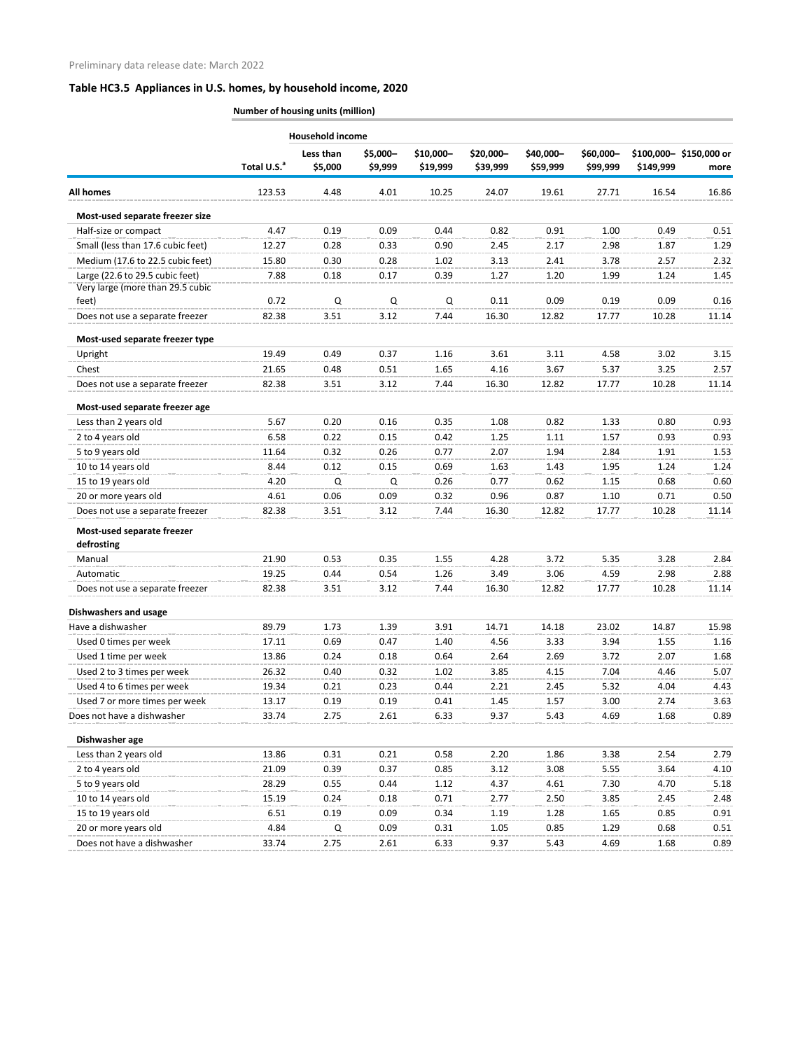|                                   |                         | <b>Household income</b> |                     |                       |                       |                       |                       |           |                                |
|-----------------------------------|-------------------------|-------------------------|---------------------|-----------------------|-----------------------|-----------------------|-----------------------|-----------|--------------------------------|
|                                   | Total U.S. <sup>a</sup> | Less than<br>\$5,000    | \$5,000-<br>\$9,999 | \$10,000-<br>\$19,999 | \$20,000-<br>\$39,999 | \$40,000-<br>\$59,999 | \$60,000-<br>\$99,999 | \$149,999 | \$100,000-\$150,000 or<br>more |
| <b>All homes</b>                  | 123.53                  | 4.48                    | 4.01                | 10.25                 | 24.07                 | 19.61                 | 27.71                 | 16.54     | 16.86                          |
| Most-used separate freezer size   |                         |                         |                     |                       |                       |                       |                       |           |                                |
| Half-size or compact              | 4.47                    | 0.19                    | 0.09                | 0.44                  | 0.82                  | 0.91                  | 1.00                  | 0.49      | 0.51                           |
| Small (less than 17.6 cubic feet) | 12.27                   | 0.28                    | 0.33                | 0.90                  | 2.45                  | 2.17                  | 2.98                  | 1.87      | 1.29                           |
| Medium (17.6 to 22.5 cubic feet)  | 15.80                   | 0.30                    | 0.28                | 1.02                  | 3.13                  | 2.41                  | 3.78                  | 2.57      | 2.32                           |
| Large (22.6 to 29.5 cubic feet)   | 7.88                    | 0.18                    | 0.17                | 0.39                  | 1.27                  | 1.20                  | 1.99                  | 1.24      | 1.45                           |
| Very large (more than 29.5 cubic  |                         |                         |                     |                       |                       |                       |                       |           |                                |
| feet)                             | 0.72                    | $\Omega$                | Q                   | Q                     | 0.11                  | 0.09                  | 0.19                  | 0.09      | 0.16                           |
| Does not use a separate freezer   | 82.38                   | 3.51                    | 3.12                | 7.44                  | 16.30                 | 12.82                 | 17.77                 | 10.28     | 11.14                          |
| Most-used separate freezer type   |                         |                         |                     |                       |                       |                       |                       |           |                                |
| Upright                           | 19.49                   | 0.49                    | 0.37                | 1.16                  | 3.61                  | 3.11                  | 4.58                  | 3.02      | 3.15                           |
| Chest                             | 21.65                   | 0.48                    | 0.51                | 1.65                  | 4.16                  | 3.67                  | 5.37                  | 3.25      | 2.57                           |
| Does not use a separate freezer   | 82.38                   | 3.51                    | 3.12                | 7.44                  | 16.30                 | 12.82                 | 17.77                 | 10.28     | 11.14                          |
| Most-used separate freezer age    |                         |                         |                     |                       |                       |                       |                       |           |                                |
| Less than 2 years old             | 5.67                    | 0.20                    | 0.16                | 0.35                  | 1.08                  | 0.82                  | 1.33                  | 0.80      | 0.93                           |
| 2 to 4 years old                  | 6.58                    | 0.22                    | 0.15                | 0.42                  | 1.25                  | 1.11                  | 1.57                  | 0.93      | 0.93                           |
| 5 to 9 years old                  | 11.64                   | 0.32                    | 0.26                | 0.77                  | 2.07                  | 1.94                  | 2.84                  | 1.91      | 1.53                           |
| 10 to 14 years old                | 8.44                    | 0.12                    | 0.15                | 0.69                  | 1.63                  | 1.43                  | 1.95                  | 1.24      | 1.24                           |
| 15 to 19 years old                | 4.20                    | Q                       | Q                   | 0.26                  | 0.77                  | 0.62                  | 1.15                  | 0.68      | 0.60                           |
| 20 or more years old              | 4.61                    | 0.06                    | 0.09                | 0.32                  | 0.96                  | 0.87                  | 1.10                  | 0.71      | 0.50                           |
| Does not use a separate freezer   | 82.38                   | 3.51                    | 3.12                | 7.44                  | 16.30                 | 12.82                 | 17.77                 | 10.28     | 11.14                          |
| Most-used separate freezer        |                         |                         |                     |                       |                       |                       |                       |           |                                |
| defrosting                        |                         |                         |                     |                       |                       |                       |                       |           |                                |
| Manual                            | 21.90                   | 0.53                    | 0.35                | 1.55                  | 4.28                  | 3.72                  | 5.35                  | 3.28      | 2.84                           |
| Automatic                         | 19.25                   | 0.44                    | 0.54                | 1.26                  | 3.49                  | 3.06                  | 4.59                  | 2.98      | 2.88                           |
| Does not use a separate freezer   | 82.38                   | 3.51                    | 3.12                | 7.44                  | 16.30                 | 12.82                 | 17.77                 | 10.28     | 11.14                          |
| <b>Dishwashers and usage</b>      |                         |                         |                     |                       |                       |                       |                       |           |                                |
| Have a dishwasher                 | 89.79                   | 1.73                    | 1.39                | 3.91                  | 14.71                 | 14.18                 | 23.02                 | 14.87     | 15.98                          |
| Used 0 times per week             | 17.11                   | 0.69                    | 0.47                | 1.40                  | 4.56                  | 3.33                  | 3.94                  | 1.55      | 1.16                           |
| Used 1 time per week              | 13.86                   | 0.24                    | 0.18                | 0.64                  | 2.64                  | 2.69                  | 3.72                  | 2.07      | 1.68                           |
| Used 2 to 3 times per week        | 26.32                   | 0.40                    | 0.32                | 1.02                  | 3.85                  | 4.15                  | 7.04                  | 4.46      | 5.07                           |
| Used 4 to 6 times per week        | 19.34                   | 0.21                    | 0.23                | 0.44                  | 2.21                  | 2.45                  | 5.32                  | 4.04      | 4.43                           |
| Used 7 or more times per week     | 13.17                   | 0.19                    | 0.19                | 0.41                  | 1.45                  | 1.57                  | 3.00                  | 2.74      | 3.63                           |
| Does not have a dishwasher        | 33.74                   | 2.75                    | 2.61                | 6.33                  | 9.37                  | 5.43                  | 4.69                  | 1.68      | 0.89                           |
| Dishwasher age                    |                         |                         |                     |                       |                       |                       |                       |           |                                |
| Less than 2 years old             | 13.86                   | 0.31                    | 0.21                | 0.58                  | 2.20                  | 1.86                  | 3.38                  | 2.54      | 2.79                           |
| 2 to 4 years old                  | 21.09                   | 0.39                    | 0.37                | 0.85                  | 3.12                  | 3.08                  | 5.55                  | 3.64      | 4.10                           |
| 5 to 9 years old                  | 28.29                   | 0.55                    | 0.44                | 1.12                  | 4.37                  | 4.61                  | 7.30                  | 4.70      | 5.18                           |
| 10 to 14 years old                | 15.19                   | 0.24                    | 0.18                | 0.71                  | 2.77                  | 2.50                  | 3.85                  | 2.45      | 2.48                           |
| 15 to 19 years old                | 6.51                    | 0.19                    | 0.09                | 0.34                  | 1.19                  | 1.28                  | 1.65                  | 0.85      | 0.91                           |
| 20 or more years old              | 4.84                    | Q                       | 0.09                | 0.31                  | 1.05                  | 0.85                  | 1.29                  | 0.68      | 0.51                           |
| Does not have a dishwasher        | 33.74                   | 2.75                    | 2.61                | 6.33                  | 9.37                  | 5.43                  | 4.69                  | 1.68      | 0.89                           |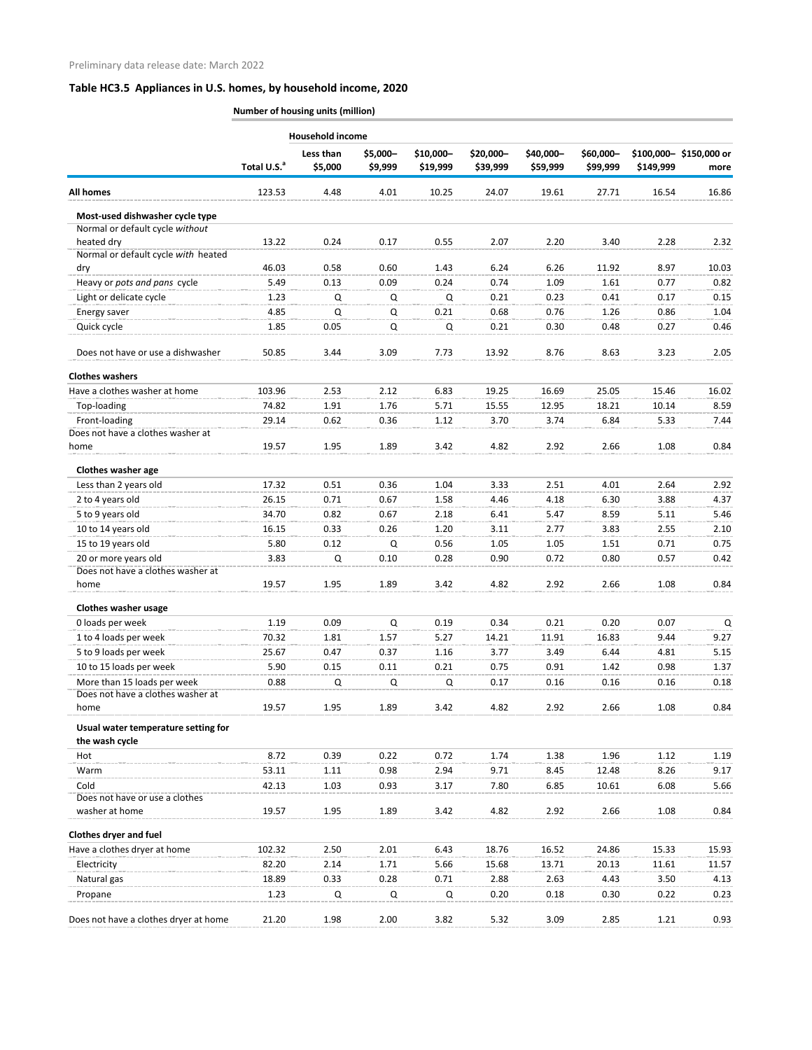|                                                    |                         | Household income     |                     |                       |                       |                       |                       |           |                                |
|----------------------------------------------------|-------------------------|----------------------|---------------------|-----------------------|-----------------------|-----------------------|-----------------------|-----------|--------------------------------|
|                                                    | Total U.S. <sup>a</sup> | Less than<br>\$5,000 | \$5,000-<br>\$9,999 | \$10,000-<br>\$19,999 | \$20,000-<br>\$39,999 | \$40,000-<br>\$59,999 | \$60,000-<br>\$99,999 | \$149,999 | \$100,000-\$150,000 or<br>more |
| <b>All homes</b>                                   | 123.53                  | 4.48                 | 4.01                | 10.25                 | 24.07                 | 19.61                 | 27.71                 | 16.54     | 16.86                          |
| Most-used dishwasher cycle type                    |                         |                      |                     |                       |                       |                       |                       |           |                                |
| Normal or default cycle without                    |                         |                      |                     |                       |                       |                       |                       |           |                                |
| heated dry                                         | 13.22                   | 0.24                 | 0.17                | 0.55                  | 2.07                  | 2.20                  | 3.40                  | 2.28      | 2.32                           |
| Normal or default cycle with heated                |                         |                      |                     |                       |                       |                       |                       |           |                                |
| dry                                                | 46.03                   | 0.58                 | 0.60                | 1.43                  | 6.24                  | 6.26                  | 11.92                 | 8.97      | 10.03                          |
| Heavy or pots and pans cycle                       | 5.49                    | 0.13                 | 0.09                | 0.24                  | 0.74                  | 1.09                  | 1.61                  | 0.77      | 0.82                           |
| Light or delicate cycle                            | 1.23                    | Q                    | Q                   | Q                     | 0.21                  | 0.23                  | 0.41                  | 0.17      | 0.15                           |
| Energy saver                                       | 4.85                    | Q                    | Q                   | 0.21                  | 0.68                  | 0.76                  | 1.26                  | 0.86      | 1.04                           |
| Quick cycle                                        | 1.85                    | 0.05                 | Q                   | Q                     | 0.21                  | 0.30                  | 0.48                  | 0.27      | 0.46                           |
| Does not have or use a dishwasher                  | 50.85                   | 3.44                 | 3.09                | 7.73                  | 13.92                 | 8.76                  | 8.63                  | 3.23      | 2.05                           |
| <b>Clothes washers</b>                             |                         |                      |                     |                       |                       |                       |                       |           |                                |
| Have a clothes washer at home                      | 103.96                  | 2.53                 | 2.12                | 6.83                  | 19.25                 | 16.69                 | 25.05                 | 15.46     | 16.02                          |
| Top-loading                                        | 74.82                   | 1.91                 | 1.76                | 5.71                  | 15.55                 | 12.95                 | 18.21                 | 10.14     | 8.59                           |
| Front-loading<br>Does not have a clothes washer at | 29.14                   | 0.62                 | 0.36                | 1.12                  | 3.70                  | 3.74                  | 6.84                  | 5.33      | 7.44                           |
| home                                               | 19.57                   | 1.95                 | 1.89                | 3.42                  | 4.82                  | 2.92                  | 2.66                  | 1.08      | 0.84                           |
| Clothes washer age                                 |                         |                      |                     |                       |                       |                       |                       |           |                                |
| Less than 2 years old                              | 17.32                   | 0.51                 | 0.36                | 1.04                  | 3.33                  | 2.51                  | 4.01                  | 2.64      | 2.92                           |
| 2 to 4 years old                                   | 26.15                   | 0.71                 | 0.67                | 1.58                  | 4.46                  | 4.18                  | 6.30                  | 3.88      | 4.37                           |
| 5 to 9 years old                                   | 34.70                   | 0.82                 | 0.67                | 2.18                  | 6.41                  | 5.47                  | 8.59                  | 5.11      | 5.46                           |
| 10 to 14 years old                                 | 16.15                   | 0.33                 | 0.26                | 1.20                  | 3.11                  | 2.77                  | 3.83                  | 2.55      | 2.10                           |
| 15 to 19 years old                                 | 5.80                    | 0.12                 | Q                   | 0.56                  | 1.05                  | 1.05                  | 1.51                  | 0.71      | 0.75                           |
| 20 or more years old                               | 3.83                    | Q                    | 0.10                | 0.28                  | 0.90                  | 0.72                  | 0.80                  | 0.57      | 0.42                           |
| Does not have a clothes washer at                  |                         |                      |                     |                       |                       |                       |                       |           |                                |
| home                                               | 19.57                   | 1.95                 | 1.89                | 3.42                  | 4.82                  | 2.92                  | 2.66                  | 1.08      | 0.84                           |
| <b>Clothes washer usage</b>                        |                         |                      |                     |                       |                       |                       |                       |           |                                |
| 0 loads per week                                   | 1.19                    | 0.09                 | Q                   | 0.19                  | 0.34                  | 0.21                  | 0.20                  | 0.07      | $\mathsf Q$                    |
| 1 to 4 loads per week                              | 70.32                   | 1.81                 | 1.57                | 5.27                  | 14.21                 | 11.91                 | 16.83                 | 9.44      | 9.27                           |
| 5 to 9 loads per week                              | 25.67                   | 0.47                 | 0.37                | 1.16                  | 3.77                  | 3.49                  | 6.44                  | 4.81      | 5.15                           |
| 10 to 15 loads per week                            | 5.90                    | 0.15                 | 0.11                | 0.21                  | 0.75                  | 0.91                  | 1.42                  | 0.98      | 1.37                           |
| More than 15 loads per week                        | 0.88                    | Q                    | Q                   | Q                     | 0.17                  | 0.16                  | 0.16                  | 0.16      | 0.18                           |
| Does not have a clothes washer at                  |                         |                      |                     |                       |                       |                       |                       |           |                                |
| home                                               | 19.57                   | 1.95                 | 1.89                | 3.42                  | 4.82                  | 2.92                  | 2.66                  | 1.08      | 0.84                           |
| Usual water temperature setting for                |                         |                      |                     |                       |                       |                       |                       |           |                                |
| the wash cycle                                     |                         |                      |                     |                       |                       |                       |                       |           |                                |
| Hot                                                | 8.72                    | 0.39                 | 0.22                | 0.72                  | 1.74                  | 1.38                  | 1.96                  | 1.12      | 1.19                           |
| Warm                                               | 53.11                   | 1.11                 | 0.98                | 2.94                  | 9.71                  | 8.45                  | 12.48                 | 8.26      | 9.17                           |
| Cold                                               | 42.13                   | 1.03                 | 0.93                | 3.17                  | 7.80                  | 6.85                  | 10.61                 | 6.08      | 5.66                           |
| Does not have or use a clothes<br>washer at home   | 19.57                   | 1.95                 | 1.89                | 3.42                  | 4.82                  | 2.92                  | 2.66                  | 1.08      | 0.84                           |
| <b>Clothes dryer and fuel</b>                      |                         |                      |                     |                       |                       |                       |                       |           |                                |
| Have a clothes dryer at home                       | 102.32                  | 2.50                 | 2.01                | 6.43                  | 18.76                 | 16.52                 | 24.86                 | 15.33     | 15.93                          |
| Electricity                                        | 82.20                   | 2.14                 | 1.71                | 5.66                  | 15.68                 | 13.71                 | 20.13                 | 11.61     | 11.57                          |
| Natural gas                                        | 18.89                   | 0.33                 | 0.28                | 0.71                  | 2.88                  | 2.63                  | 4.43                  | 3.50      | 4.13                           |
| Propane                                            | 1.23                    | Q                    | Q                   | Q                     | 0.20                  | 0.18                  | 0.30                  | 0.22      | 0.23                           |
| Does not have a clothes dryer at home              | 21.20                   | 1.98                 | 2.00                | 3.82                  | 5.32                  | 3.09                  | 2.85                  | 1.21      | 0.93                           |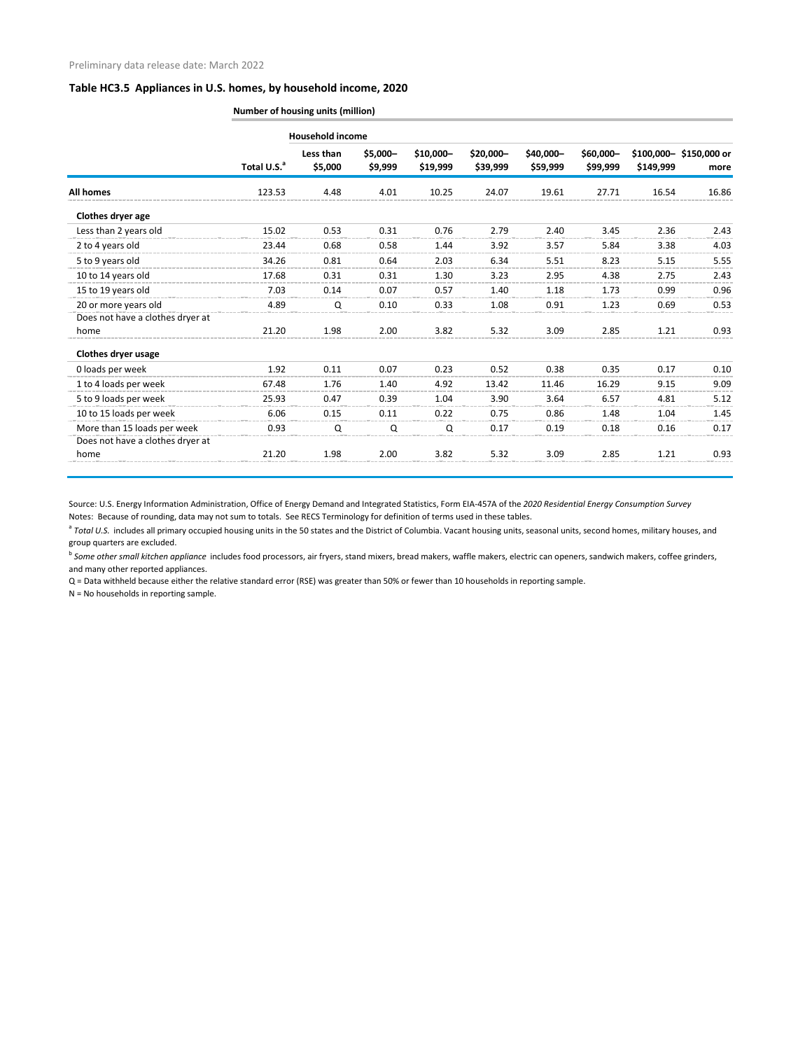| <b>Number of housing units (million)</b> |  |  |
|------------------------------------------|--|--|
|                                          |  |  |

|                                  |                         | <b>Household income</b> |                     |                        |                        |                       |                       |           |                                |
|----------------------------------|-------------------------|-------------------------|---------------------|------------------------|------------------------|-----------------------|-----------------------|-----------|--------------------------------|
|                                  | Total U.S. <sup>a</sup> | Less than<br>\$5,000    | \$5,000-<br>\$9,999 | $$10,000-$<br>\$19,999 | $$20,000-$<br>\$39,999 | \$40,000-<br>\$59,999 | \$60,000-<br>\$99,999 | \$149,999 | \$100,000-\$150,000 or<br>more |
| <b>All homes</b>                 | 123.53                  | 4.48                    | 4.01                | 10.25                  | 24.07                  | 19.61                 | 27.71                 | 16.54     | 16.86                          |
| Clothes dryer age                |                         |                         |                     |                        |                        |                       |                       |           |                                |
| Less than 2 years old            | 15.02                   | 0.53                    | 0.31                | 0.76                   | 2.79                   | 2.40                  | 3.45                  | 2.36      | 2.43                           |
| 2 to 4 years old                 | 23.44                   | 0.68                    | 0.58                | 1.44                   | 3.92                   | 3.57                  | 5.84                  | 3.38      | 4.03                           |
| 5 to 9 years old                 | 34.26                   | 0.81                    | 0.64                | 2.03                   | 6.34                   | 5.51                  | 8.23                  | 5.15      | 5.55                           |
| 10 to 14 years old               | 17.68                   | 0.31                    | 0.31                | 1.30                   | 3.23                   | 2.95                  | 4.38                  | 2.75      | 2.43                           |
| 15 to 19 years old               | 7.03                    | 0.14                    | 0.07                | 0.57                   | 1.40                   | 1.18                  | 1.73                  | 0.99      | 0.96                           |
| 20 or more years old             | 4.89                    | Q                       | 0.10                | 0.33                   | 1.08                   | 0.91                  | 1.23                  | 0.69      | 0.53                           |
| Does not have a clothes dryer at |                         |                         |                     |                        |                        |                       |                       |           |                                |
| home                             | 21.20                   | 1.98                    | 2.00                | 3.82                   | 5.32                   | 3.09                  | 2.85                  | 1.21      | 0.93                           |
| <b>Clothes dryer usage</b>       |                         |                         |                     |                        |                        |                       |                       |           |                                |
| 0 loads per week                 | 1.92                    | 0.11                    | 0.07                | 0.23                   | 0.52                   | 0.38                  | 0.35                  | 0.17      | 0.10                           |
| 1 to 4 loads per week            | 67.48                   | 1.76                    | 1.40                | 4.92                   | 13.42                  | 11.46                 | 16.29                 | 9.15      | 9.09                           |
| 5 to 9 loads per week            | 25.93                   | 0.47                    | 0.39                | 1.04                   | 3.90                   | 3.64                  | 6.57                  | 4.81      | 5.12                           |
| 10 to 15 loads per week          | 6.06                    | 0.15                    | 0.11                | 0.22                   | 0.75                   | 0.86                  | 1.48                  | 1.04      | 1.45                           |
| More than 15 loads per week      | 0.93                    | Q                       | Q                   | Q                      | 0.17                   | 0.19                  | 0.18                  | 0.16      | 0.17                           |
| Does not have a clothes dryer at |                         |                         |                     |                        |                        |                       |                       |           |                                |
| home                             | 21.20                   | 1.98                    | 2.00                | 3.82                   | 5.32                   | 3.09                  | 2.85                  | 1.21      | 0.93                           |

Source: U.S. Energy Information Administration, Office of Energy Demand and Integrated Statistics, Form EIA-457A of the *2020 Residential Energy Consumption Survey* Notes: Because of rounding, data may not sum to totals. See RECS Terminology for definition of terms used in these tables.

<sup>a</sup> Total U.S. includes all primary occupied housing units in the 50 states and the District of Columbia. Vacant housing units, seasonal units, second homes, military houses, and group quarters are excluded.

<sup>b</sup> Some other small kitchen appliance includes food processors, air fryers, stand mixers, bread makers, waffle makers, electric can openers, sandwich makers, coffee grinders, and many other reported appliances.

Q = Data withheld because either the relative standard error (RSE) was greater than 50% or fewer than 10 households in reporting sample.

N = No households in reporting sample.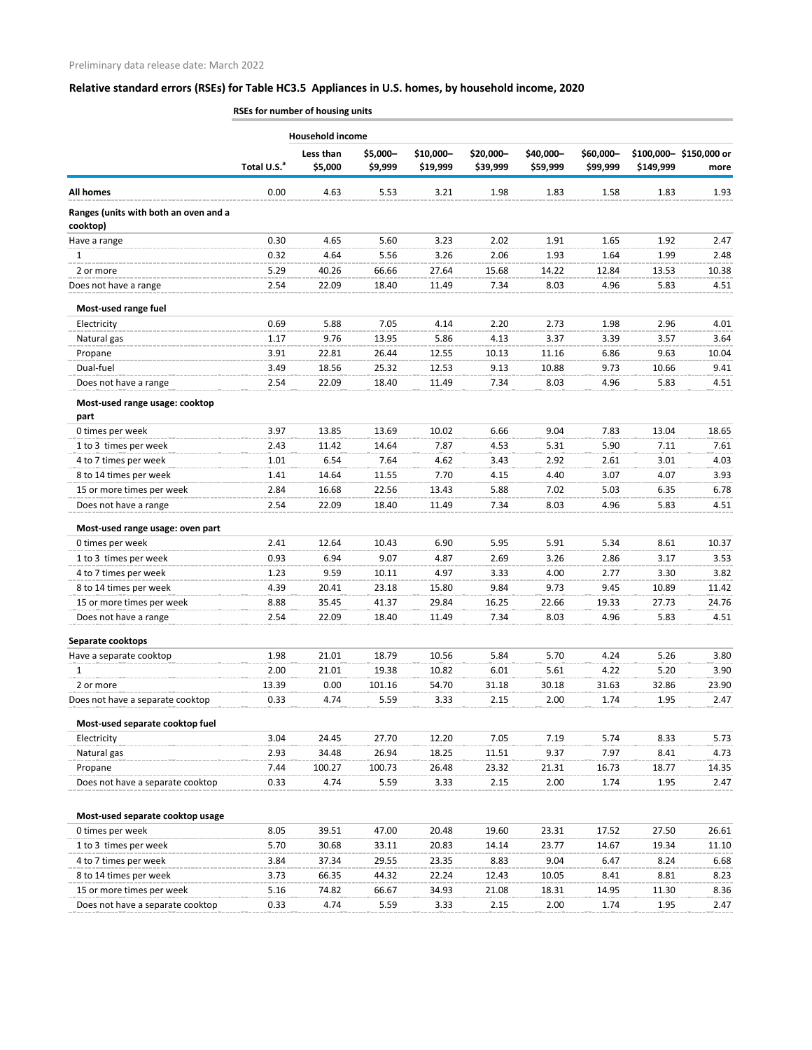**Total U.S.**<sup>a</sup> **Less than \$5,000 \$5,000– \$9,999 \$10,000– \$19,999 \$20,000– \$39,999 \$40,000– \$59,999 \$60,000– \$99,999 \$100,000– \$150,000 or \$149,999 more All homes** 0.00 4.63 5.53 3.21 1.98 1.83 1.58 1.83 1.93 **Ranges (units with both an oven and a cooktop)** Have a range 0.30 4.65 5.60 3.23 2.02 1.91 1.65 1.92 2.47 1 0.32 4.64 5.56 3.26 2.06 1.93 1.64 1.99 2.48 2 or more 5.29 40.26 66.66 27.64 15.68 14.22 12.84 13.53 10.38 Does not have a range 2.54 22.09 18.40 11.49 7.34 8.03 4.96 5.83 4.51 **Most-used range fuel** Electricity 0.69 5.88 7.05 4.14 2.20 2.73 1.98 2.96 4.01 Natural gas 1.17 9.76 13.95 5.86 4.13 3.37 3.39 3.57 3.64 Propane 3.91 22.81 26.44 12.55 10.13 11.16 6.86 9.63 10.04 Dual-fuel 3.49 18.56 25.32 12.53 9.13 10.88 9.73 10.66 9.41 Does not have a range 2.54 22.09 18.40 11.49 7.34 8.03 4.96 5.83 4.51 **Most-used range usage: cooktop part** 0 times per week **3.97** 13.85 13.69 10.02 6.66 9.04 7.83 13.04 18.65 1 to 3 times per week 2.43 11.42 14.64 7.87 4.53 5.31 5.90 7.11 7.61 4 to 7 times per week 1.01 6.54 7.64 4.62 3.43 2.92 2.61 3.01 4.03 8 to 14 times per week 1.41 14.64 11.55 7.70 4.15 4.40 3.07 4.07 3.93 15 or more times per week 2.84 16.68 22.56 13.43 5.88 7.02 5.03 6.35 6.78 Does not have a range a manuscript contract a 22.09 18.40 11.49 7.34 8.03 4.96 5.83 4.51 **Most-used range usage: oven part** 0 times per week 2.41 12.64 10.43 6.90 5.95 5.91 5.34 8.61 10.37 1 to 3 times per week 0.93 6.94 9.07 4.87 2.69 3.26 2.86 3.17 3.53 4 to 7 times per week 1.23 9.59 10.11 4.97 3.33 4.00 2.77 3.30 3.82 8 to 14 times per week 4.39 20.41 23.18 15.80 9.84 9.73 9.45 10.89 11.42 15 or more times per week 8.88 35.45 41.37 29.84 16.25 22.66 19.33 27.73 24.76 Does not have a range a manuscript contract a 22.09 18.40 11.49 7.34 8.03 4.96 5.83 4.51 **Separate cooktops** Have a separate cooktop **1.98** 21.01 18.79 10.56 5.84 5.70 4.24 5.26 3.80 1 2.00 21.01 19.38 10.82 6.01 5.61 4.22 5.20 3.90 2 or more 13.39 0.00 101.16 54.70 31.18 30.18 31.63 32.86 23.90 Does not have a separate cooktop 0.33 4.74 5.59 3.33 2.15 2.00 1.74 1.95 2.47 **Most-used separate cooktop fuel** Electricity 3.04 24.45 27.70 12.20 7.05 7.19 5.74 8.33 5.73 Natural gas 2.93 34.48 26.94 18.25 11.51 9.37 7.97 8.41 4.73 Propane 7.44 100.27 100.73 26.48 23.32 21.31 16.73 18.77 14.35 Does not have a separate cooktop 0.33 4.74 5.59 3.33 2.15 2.00 1.74 1.95 2.47 **Most-used separate cooktop usage** 0 times per week **8.05** 8.05 39.51 47.00 20.48 19.60 23.31 17.52 27.50 26.61 1 to 3 times per week 5.70 30.68 33.11 20.83 14.14 23.77 14.67 19.34 11.10 4 to 7 times per week 3.84 37.34 29.55 23.35 8.83 9.04 6.47 8.24 6.68 8 to 14 times per week 3.73 66.35 44.32 22.24 12.43 10.05 8.41 8.81 8.23 15 or more times per week 5.16 74.82 66.67 34.93 21.08 18.31 14.95 11.30 8.36 Does not have a separate cooktop 0.33 4.74 5.59 3.33 2.15 2.00 1.74 1.95 2.47 **RSEs for number of housing units Household income**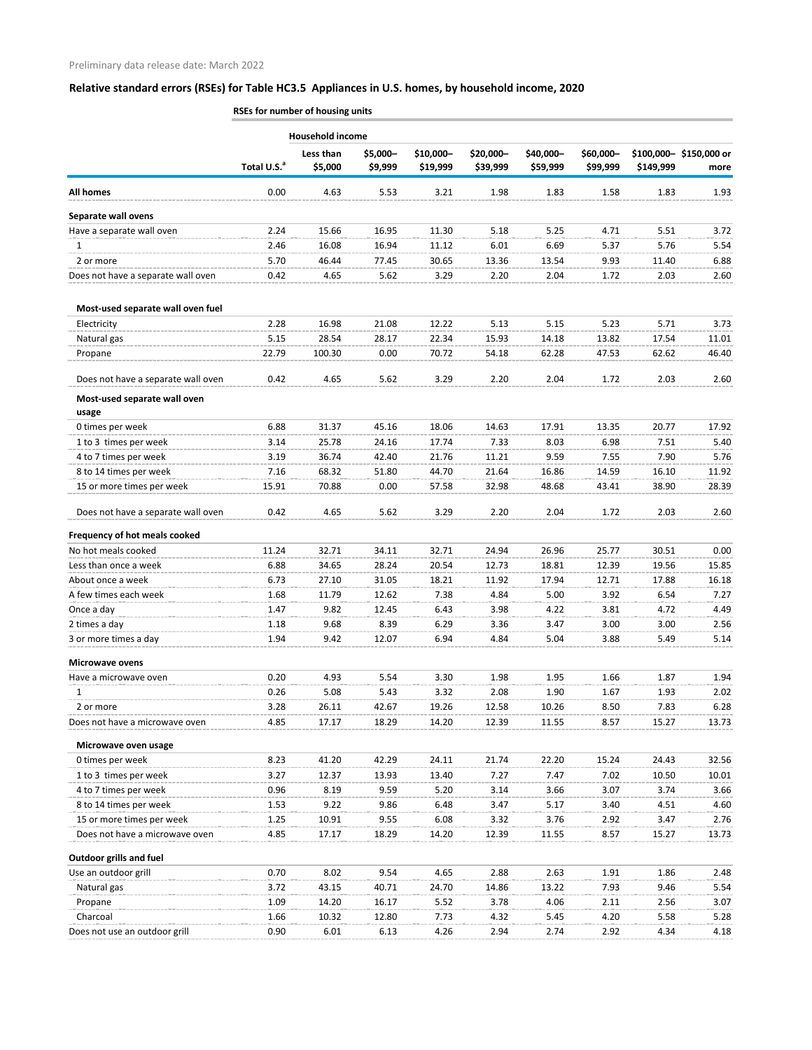|                                       |                         | RSEs for number of housing units |                     |                       |                       |                       |                       |           |                                |  |  |
|---------------------------------------|-------------------------|----------------------------------|---------------------|-----------------------|-----------------------|-----------------------|-----------------------|-----------|--------------------------------|--|--|
|                                       |                         | <b>Household income</b>          |                     |                       |                       |                       |                       |           |                                |  |  |
|                                       | Total U.S. <sup>a</sup> | Less than<br>\$5,000             | \$5,000-<br>\$9,999 | \$10,000-<br>\$19,999 | \$20,000-<br>\$39,999 | \$40,000-<br>\$59,999 | \$60,000-<br>\$99,999 | \$149,999 | \$100,000-\$150,000 or<br>more |  |  |
| <b>All homes</b>                      | 0.00                    | 4.63                             | 5.53                | 3.21                  | 1.98                  | 1.83                  | 1.58                  | 1.83      | 1.93                           |  |  |
| Separate wall ovens                   |                         |                                  |                     |                       |                       |                       |                       |           |                                |  |  |
| Have a separate wall oven             | 2.24                    | 15.66                            | 16.95               | 11.30                 | 5.18                  | 5.25                  | 4.71                  | 5.51      | 3.72                           |  |  |
| 1                                     | 2.46                    | 16.08                            | 16.94               | 11.12                 | 6.01                  | 6.69                  | 5.37                  | 5.76      | 5.54                           |  |  |
| 2 or more                             | 5.70                    | 46.44                            | 77.45               | 30.65                 | 13.36                 | 13.54                 | 9.93                  | 11.40     | 6.88                           |  |  |
| Does not have a separate wall oven    | 0.42                    | 4.65                             | 5.62                | 3.29                  | 2.20                  | 2.04                  | 1.72                  | 2.03      | 2.60                           |  |  |
| Most-used separate wall oven fuel     |                         |                                  |                     |                       |                       |                       |                       |           |                                |  |  |
| Electricity                           | 2.28                    | 16.98                            | 21.08               | 12.22                 | 5.13                  | 5.15                  | 5.23                  | 5.71      | 3.73                           |  |  |
| Natural gas                           | 5.15                    | 28.54                            | 28.17               | 22.34                 | 15.93                 | 14.18                 | 13.82                 | 17.54     | 11.01                          |  |  |
| Propane                               | 22.79                   | 100.30                           | 0.00                | 70.72                 | 54.18                 | 62.28                 | 47.53                 | 62.62     | 46.40                          |  |  |
| Does not have a separate wall oven    | 0.42                    | 4.65                             | 5.62                | 3.29                  | 2.20                  | 2.04                  | 1.72                  | 2.03      | 2.60                           |  |  |
| Most-used separate wall oven<br>usage |                         |                                  |                     |                       |                       |                       |                       |           |                                |  |  |
| 0 times per week                      | 6.88                    | 31.37                            | 45.16               | 18.06                 | 14.63                 | 17.91                 | 13.35                 | 20.77     | 17.92                          |  |  |
| 1 to 3 times per week                 | 3.14                    | 25.78                            | 24.16               | 17.74                 | 7.33                  | 8.03                  | 6.98                  | 7.51      | 5.40                           |  |  |
| 4 to 7 times per week                 | 3.19                    | 36.74                            | 42.40               | 21.76                 | 11.21                 | 9.59                  | 7.55                  | 7.90      | 5.76                           |  |  |
| 8 to 14 times per week                | 7.16                    | 68.32                            | 51.80               | 44.70                 | 21.64                 | 16.86                 | 14.59                 | 16.10     | 11.92                          |  |  |
| 15 or more times per week             | 15.91                   | 70.88                            | 0.00                | 57.58                 | 32.98                 | 48.68                 | 43.41                 | 38.90     | 28.39                          |  |  |
| Does not have a separate wall oven    | 0.42                    | 4.65                             | 5.62                | 3.29                  | 2.20                  | 2.04                  | 1.72                  | 2.03      | 2.60                           |  |  |
| Frequency of hot meals cooked         |                         |                                  |                     |                       |                       |                       |                       |           |                                |  |  |
| No hot meals cooked                   | 11.24                   | 32.71                            | 34.11               | 32.71                 | 24.94                 | 26.96                 | 25.77                 | 30.51     | 0.00                           |  |  |
| Less than once a week                 | 6.88                    | 34.65                            | 28.24               | 20.54                 | 12.73                 | 18.81                 | 12.39                 | 19.56     | 15.85                          |  |  |
| About once a week                     | 6.73                    | 27.10                            | 31.05               | 18.21                 | 11.92                 | 17.94                 | 12.71                 | 17.88     | 16.18                          |  |  |
| A few times each week                 | 1.68                    | 11.79                            | 12.62               | 7.38                  | 4.84                  | 5.00                  | 3.92                  | 6.54      | 7.27                           |  |  |
| Once a day                            | 1.47                    | 9.82                             | 12.45               | 6.43                  | 3.98                  | 4.22                  | 3.81                  | 4.72      | 4.49                           |  |  |
| 2 times a day                         | 1.18                    | 9.68                             | 8.39                | 6.29                  | 3.36                  | 3.47                  | 3.00                  | 3.00      | 2.56                           |  |  |
| 3 or more times a day                 | 1.94                    | 9.42                             | 12.07               | 6.94                  | 4.84                  | 5.04                  | 3.88                  | 5.49      | 5.14                           |  |  |
| <b>Microwave ovens</b>                |                         |                                  |                     |                       |                       |                       |                       |           |                                |  |  |
| Have a microwave oven                 | 0.20                    | 4.93                             | 5.54                | 3.30                  | 1.98                  | 1.95                  | 1.66                  | 1.87      | 1.94                           |  |  |
| 1                                     | 0.26                    | 5.08                             | 5.43                | 3.32                  | 2.08                  | 1.90                  | 1.67                  | 1.93      | 2.02                           |  |  |
| 2 or more                             | 3.28                    | 26.11                            | 42.67               | 19.26                 | 12.58                 | 10.26                 | 8.50                  | 7.83      | 6.28                           |  |  |
| Does not have a microwave oven        | 4.85                    | 17.17                            | 18.29               | 14.20                 | 12.39                 | 11.55                 | 8.57                  | 15.27     | 13.73                          |  |  |
| Microwave oven usage                  |                         |                                  |                     |                       |                       |                       |                       |           |                                |  |  |
| 0 times per week                      | 8.23                    | 41.20                            | 42.29               | 24.11                 | 21.74                 | 22.20                 | 15.24                 | 24.43     | 32.56                          |  |  |
| 1 to 3 times per week                 | 3.27                    | 12.37                            | 13.93               | 13.40                 | 7.27                  | 7.47                  | 7.02                  | 10.50     | 10.01                          |  |  |
| 4 to 7 times per week                 | 0.96                    | 8.19                             | 9.59                | 5.20                  | 3.14                  | 3.66                  | 3.07                  | 3.74      | 3.66                           |  |  |
| 8 to 14 times per week                | 1.53                    | 9.22                             | 9.86                | 6.48                  | 3.47                  | 5.17                  | 3.40                  | 4.51      | 4.60                           |  |  |
| 15 or more times per week             | 1.25                    | 10.91                            | 9.55                | 6.08                  | 3.32                  | 3.76                  | 2.92                  | 3.47      | 2.76                           |  |  |
| Does not have a microwave oven        | 4.85                    | 17.17                            | 18.29               | 14.20                 | 12.39                 | 11.55                 | 8.57                  | 15.27     | 13.73                          |  |  |
| <b>Outdoor grills and fuel</b>        |                         |                                  |                     |                       |                       |                       |                       |           |                                |  |  |
| Use an outdoor grill                  | 0.70                    | 8.02                             | 9.54                | 4.65                  | 2.88                  | 2.63                  | 1.91                  | 1.86      | 2.48                           |  |  |
| Natural gas                           | 3.72                    | 43.15                            | 40.71               | 24.70                 | 14.86                 | 13.22                 | 7.93                  | 9.46      | 5.54                           |  |  |
| Propane                               | 1.09                    | 14.20                            | 16.17               | 5.52                  | 3.78                  | 4.06                  | 2.11                  | 2.56      | 3.07                           |  |  |
| Charcoal                              | 1.66                    | 10.32                            | 12.80               | 7.73                  | 4.32                  | 5.45                  | 4.20                  | 5.58      | 5.28                           |  |  |
| Does not use an outdoor grill         | 0.90                    | 6.01                             | 6.13                | 4.26                  | 2.94                  | 2.74                  | 2.92                  | 4.34      | 4.18                           |  |  |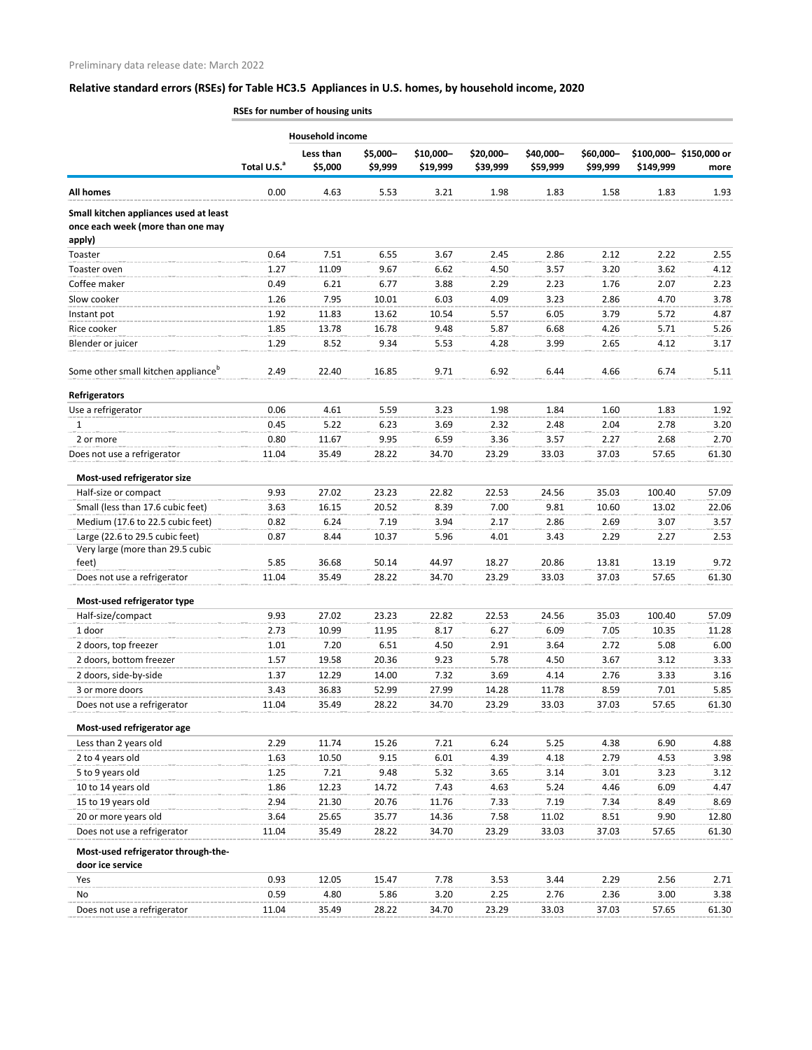**RSEs for number of housing units**

| Less than<br>\$5,000-<br>\$10,000-<br>\$20,000-<br>\$40,000-<br>\$60,000-<br>\$100,000-\$150,000 or<br>Total U.S. <sup>a</sup><br>\$5,000<br>\$9,999<br>\$59,999<br>\$99,999<br>\$19,999<br>\$39,999<br>\$149,999<br>more<br>0.00<br>4.63<br>5.53<br>3.21<br>1.98<br>1.83<br>1.58<br>1.83<br>1.93<br>apply)<br>7.51<br>2.22<br>2.55<br>0.64<br>6.55<br>3.67<br>2.45<br>2.86<br>2.12<br>4.12<br>1.27<br>11.09<br>9.67<br>6.62<br>4.50<br>3.20<br>3.62<br>3.57<br>0.49<br>6.21<br>6.77<br>3.88<br>2.07<br>2.23<br>2.29<br>2.23<br>1.76<br>1.26<br>7.95<br>10.01<br>6.03<br>2.86<br>4.70<br>3.78<br>4.09<br>3.23<br>11.83<br>13.62<br>10.54<br>3.79<br>5.72<br>4.87<br>1.92<br>5.57<br>6.05<br>1.85<br>13.78<br>9.48<br>5.87<br>6.68<br>4.26<br>5.71<br>5.26<br>16.78<br>1.29<br>8.52<br>9.34<br>5.53<br>3.17<br>4.28<br>3.99<br>2.65<br>4.12<br>9.71<br>2.49<br>22.40<br>16.85<br>6.92<br>6.44<br>4.66<br>6.74<br>5.11<br>0.06<br>4.61<br>5.59<br>3.23<br>1.84<br>1.60<br>1.83<br>1.92<br>1.98<br>0.45<br>6.23<br>3.69<br>2.78<br>3.20<br>1<br>5.22<br>2.32<br>2.48<br>2.04<br>0.80<br>11.67<br>9.95<br>6.59<br>3.36<br>2.27<br>2.68<br>2.70<br>3.57<br>2 or more<br>11.04<br>28.22<br>34.70<br>23.29<br>33.03<br>37.03<br>57.65<br>61.30<br>35.49<br>Most-used refrigerator size<br>Half-size or compact<br>9.93<br>57.09<br>27.02<br>23.23<br>22.82<br>22.53<br>24.56<br>35.03<br>100.40<br>Small (less than 17.6 cubic feet)<br>16.15<br>20.52<br>8.39<br>9.81<br>3.63<br>7.00<br>10.60<br>13.02<br>22.06<br>Medium (17.6 to 22.5 cubic feet)<br>0.82<br>6.24<br>7.19<br>3.94<br>2.69<br>3.07<br>3.57<br>2.17<br>2.86<br>Large (22.6 to 29.5 cubic feet)<br>5.96<br>2.29<br>2.27<br>0.87<br>10.37<br>4.01<br>3.43<br>2.53<br>8.44<br>Very large (more than 29.5 cubic<br>feet)<br>5.85<br>36.68<br>50.14<br>44.97<br>18.27<br>20.86<br>13.81<br>13.19<br>9.72<br>35.49<br>28.22<br>34.70<br>23.29<br>33.03<br>37.03<br>61.30<br>Does not use a refrigerator<br>11.04<br>57.65<br>Most-used refrigerator type<br>Half-size/compact<br>9.93<br>27.02<br>23.23<br>22.82<br>22.53<br>24.56<br>35.03<br>100.40<br>57.09<br>1 door<br>2.73<br>10.99<br>11.95<br>8.17<br>6.27<br>6.09<br>7.05<br>10.35<br>11.28<br>2 doors, top freezer<br>7.20<br>6.51<br>4.50<br>2.91<br>5.08<br>6.00<br>1.01<br>3.64<br>2.72<br>2 doors, bottom freezer<br>19.58<br>20.36<br>9.23<br>3.67<br>3.12<br>3.33<br>1.57<br>5.78<br>4.50<br>2 doors, side-by-side<br>3.33<br>1.37<br>12.29<br>14.00<br>7.32<br>3.69<br>4.14<br>2.76<br>3.16<br>36.83<br>52.99<br>27.99<br>14.28<br>8.59<br>7.01<br>5.85<br>3 or more doors<br>3.43<br>11.78<br>61.30<br>Does not use a refrigerator<br>11.04<br>35.49<br>28.22<br>34.70<br>23.29<br>33.03<br>37.03<br>57.65<br>Most-used refrigerator age<br>Less than 2 years old<br>11.74<br>6.24<br>6.90<br>4.88<br>2.29<br>15.26<br>7.21<br>5.25<br>4.38<br>3.98<br>2 to 4 years old<br>1.63<br>10.50<br>9.15<br>6.01<br>4.39<br>2.79<br>4.53<br>4.18<br>5 to 9 years old<br>3.12<br>1.25<br>7.21<br>9.48<br>5.32<br>3.65<br>3.14<br>3.01<br>3.23<br>7.43<br>1.86<br>12.23<br>14.72<br>4.63<br>5.24<br>6.09<br>4.47<br>10 to 14 years old<br>4.46<br>15 to 19 years old<br>21.30<br>11.76<br>8.69<br>2.94<br>20.76<br>7.33<br>7.19<br>7.34<br>8.49<br>20 or more years old<br>3.64<br>25.65<br>35.77<br>14.36<br>7.58<br>11.02<br>8.51<br>9.90<br>12.80<br>Does not use a refrigerator<br>11.04<br>35.49<br>28.22<br>34.70<br>23.29<br>33.03<br>37.03<br>57.65<br>61.30<br>Most-used refrigerator through-the-<br>door ice service<br>2.56<br>0.93<br>12.05<br>15.47<br>7.78<br>3.53<br>2.29<br>2.71<br>3.44<br>Yes<br>0.59<br>4.80<br>5.86<br>3.20<br>2.25<br>2.76<br>3.00<br>3.38<br>No<br>2.36 |                                                                             |       | Household income |       |       |       |       |       |       |       |
|-------------------------------------------------------------------------------------------------------------------------------------------------------------------------------------------------------------------------------------------------------------------------------------------------------------------------------------------------------------------------------------------------------------------------------------------------------------------------------------------------------------------------------------------------------------------------------------------------------------------------------------------------------------------------------------------------------------------------------------------------------------------------------------------------------------------------------------------------------------------------------------------------------------------------------------------------------------------------------------------------------------------------------------------------------------------------------------------------------------------------------------------------------------------------------------------------------------------------------------------------------------------------------------------------------------------------------------------------------------------------------------------------------------------------------------------------------------------------------------------------------------------------------------------------------------------------------------------------------------------------------------------------------------------------------------------------------------------------------------------------------------------------------------------------------------------------------------------------------------------------------------------------------------------------------------------------------------------------------------------------------------------------------------------------------------------------------------------------------------------------------------------------------------------------------------------------------------------------------------------------------------------------------------------------------------------------------------------------------------------------------------------------------------------------------------------------------------------------------------------------------------------------------------------------------------------------------------------------------------------------------------------------------------------------------------------------------------------------------------------------------------------------------------------------------------------------------------------------------------------------------------------------------------------------------------------------------------------------------------------------------------------------------------------------------------------------------------------------------------------------------------------------------------------------------------------------------------------------------------------------------------------------------------------------------------------------------------------------------------------------------------------------------------------------------------------------------------------------------------------------------------------------------------------------------------------------------------------------------------------------------------------------------------------------------------------------------------|-----------------------------------------------------------------------------|-------|------------------|-------|-------|-------|-------|-------|-------|-------|
|                                                                                                                                                                                                                                                                                                                                                                                                                                                                                                                                                                                                                                                                                                                                                                                                                                                                                                                                                                                                                                                                                                                                                                                                                                                                                                                                                                                                                                                                                                                                                                                                                                                                                                                                                                                                                                                                                                                                                                                                                                                                                                                                                                                                                                                                                                                                                                                                                                                                                                                                                                                                                                                                                                                                                                                                                                                                                                                                                                                                                                                                                                                                                                                                                                                                                                                                                                                                                                                                                                                                                                                                                                                                                                             |                                                                             |       |                  |       |       |       |       |       |       |       |
|                                                                                                                                                                                                                                                                                                                                                                                                                                                                                                                                                                                                                                                                                                                                                                                                                                                                                                                                                                                                                                                                                                                                                                                                                                                                                                                                                                                                                                                                                                                                                                                                                                                                                                                                                                                                                                                                                                                                                                                                                                                                                                                                                                                                                                                                                                                                                                                                                                                                                                                                                                                                                                                                                                                                                                                                                                                                                                                                                                                                                                                                                                                                                                                                                                                                                                                                                                                                                                                                                                                                                                                                                                                                                                             | <b>All homes</b>                                                            |       |                  |       |       |       |       |       |       |       |
|                                                                                                                                                                                                                                                                                                                                                                                                                                                                                                                                                                                                                                                                                                                                                                                                                                                                                                                                                                                                                                                                                                                                                                                                                                                                                                                                                                                                                                                                                                                                                                                                                                                                                                                                                                                                                                                                                                                                                                                                                                                                                                                                                                                                                                                                                                                                                                                                                                                                                                                                                                                                                                                                                                                                                                                                                                                                                                                                                                                                                                                                                                                                                                                                                                                                                                                                                                                                                                                                                                                                                                                                                                                                                                             | Small kitchen appliances used at least<br>once each week (more than one may |       |                  |       |       |       |       |       |       |       |
|                                                                                                                                                                                                                                                                                                                                                                                                                                                                                                                                                                                                                                                                                                                                                                                                                                                                                                                                                                                                                                                                                                                                                                                                                                                                                                                                                                                                                                                                                                                                                                                                                                                                                                                                                                                                                                                                                                                                                                                                                                                                                                                                                                                                                                                                                                                                                                                                                                                                                                                                                                                                                                                                                                                                                                                                                                                                                                                                                                                                                                                                                                                                                                                                                                                                                                                                                                                                                                                                                                                                                                                                                                                                                                             | Toaster                                                                     |       |                  |       |       |       |       |       |       |       |
|                                                                                                                                                                                                                                                                                                                                                                                                                                                                                                                                                                                                                                                                                                                                                                                                                                                                                                                                                                                                                                                                                                                                                                                                                                                                                                                                                                                                                                                                                                                                                                                                                                                                                                                                                                                                                                                                                                                                                                                                                                                                                                                                                                                                                                                                                                                                                                                                                                                                                                                                                                                                                                                                                                                                                                                                                                                                                                                                                                                                                                                                                                                                                                                                                                                                                                                                                                                                                                                                                                                                                                                                                                                                                                             | Toaster oven                                                                |       |                  |       |       |       |       |       |       |       |
|                                                                                                                                                                                                                                                                                                                                                                                                                                                                                                                                                                                                                                                                                                                                                                                                                                                                                                                                                                                                                                                                                                                                                                                                                                                                                                                                                                                                                                                                                                                                                                                                                                                                                                                                                                                                                                                                                                                                                                                                                                                                                                                                                                                                                                                                                                                                                                                                                                                                                                                                                                                                                                                                                                                                                                                                                                                                                                                                                                                                                                                                                                                                                                                                                                                                                                                                                                                                                                                                                                                                                                                                                                                                                                             | Coffee maker                                                                |       |                  |       |       |       |       |       |       |       |
|                                                                                                                                                                                                                                                                                                                                                                                                                                                                                                                                                                                                                                                                                                                                                                                                                                                                                                                                                                                                                                                                                                                                                                                                                                                                                                                                                                                                                                                                                                                                                                                                                                                                                                                                                                                                                                                                                                                                                                                                                                                                                                                                                                                                                                                                                                                                                                                                                                                                                                                                                                                                                                                                                                                                                                                                                                                                                                                                                                                                                                                                                                                                                                                                                                                                                                                                                                                                                                                                                                                                                                                                                                                                                                             | Slow cooker                                                                 |       |                  |       |       |       |       |       |       |       |
|                                                                                                                                                                                                                                                                                                                                                                                                                                                                                                                                                                                                                                                                                                                                                                                                                                                                                                                                                                                                                                                                                                                                                                                                                                                                                                                                                                                                                                                                                                                                                                                                                                                                                                                                                                                                                                                                                                                                                                                                                                                                                                                                                                                                                                                                                                                                                                                                                                                                                                                                                                                                                                                                                                                                                                                                                                                                                                                                                                                                                                                                                                                                                                                                                                                                                                                                                                                                                                                                                                                                                                                                                                                                                                             | Instant pot                                                                 |       |                  |       |       |       |       |       |       |       |
|                                                                                                                                                                                                                                                                                                                                                                                                                                                                                                                                                                                                                                                                                                                                                                                                                                                                                                                                                                                                                                                                                                                                                                                                                                                                                                                                                                                                                                                                                                                                                                                                                                                                                                                                                                                                                                                                                                                                                                                                                                                                                                                                                                                                                                                                                                                                                                                                                                                                                                                                                                                                                                                                                                                                                                                                                                                                                                                                                                                                                                                                                                                                                                                                                                                                                                                                                                                                                                                                                                                                                                                                                                                                                                             | Rice cooker                                                                 |       |                  |       |       |       |       |       |       |       |
|                                                                                                                                                                                                                                                                                                                                                                                                                                                                                                                                                                                                                                                                                                                                                                                                                                                                                                                                                                                                                                                                                                                                                                                                                                                                                                                                                                                                                                                                                                                                                                                                                                                                                                                                                                                                                                                                                                                                                                                                                                                                                                                                                                                                                                                                                                                                                                                                                                                                                                                                                                                                                                                                                                                                                                                                                                                                                                                                                                                                                                                                                                                                                                                                                                                                                                                                                                                                                                                                                                                                                                                                                                                                                                             | Blender or juicer                                                           |       |                  |       |       |       |       |       |       |       |
|                                                                                                                                                                                                                                                                                                                                                                                                                                                                                                                                                                                                                                                                                                                                                                                                                                                                                                                                                                                                                                                                                                                                                                                                                                                                                                                                                                                                                                                                                                                                                                                                                                                                                                                                                                                                                                                                                                                                                                                                                                                                                                                                                                                                                                                                                                                                                                                                                                                                                                                                                                                                                                                                                                                                                                                                                                                                                                                                                                                                                                                                                                                                                                                                                                                                                                                                                                                                                                                                                                                                                                                                                                                                                                             | Some other small kitchen appliance <sup>b</sup>                             |       |                  |       |       |       |       |       |       |       |
|                                                                                                                                                                                                                                                                                                                                                                                                                                                                                                                                                                                                                                                                                                                                                                                                                                                                                                                                                                                                                                                                                                                                                                                                                                                                                                                                                                                                                                                                                                                                                                                                                                                                                                                                                                                                                                                                                                                                                                                                                                                                                                                                                                                                                                                                                                                                                                                                                                                                                                                                                                                                                                                                                                                                                                                                                                                                                                                                                                                                                                                                                                                                                                                                                                                                                                                                                                                                                                                                                                                                                                                                                                                                                                             | <b>Refrigerators</b>                                                        |       |                  |       |       |       |       |       |       |       |
|                                                                                                                                                                                                                                                                                                                                                                                                                                                                                                                                                                                                                                                                                                                                                                                                                                                                                                                                                                                                                                                                                                                                                                                                                                                                                                                                                                                                                                                                                                                                                                                                                                                                                                                                                                                                                                                                                                                                                                                                                                                                                                                                                                                                                                                                                                                                                                                                                                                                                                                                                                                                                                                                                                                                                                                                                                                                                                                                                                                                                                                                                                                                                                                                                                                                                                                                                                                                                                                                                                                                                                                                                                                                                                             | Use a refrigerator                                                          |       |                  |       |       |       |       |       |       |       |
|                                                                                                                                                                                                                                                                                                                                                                                                                                                                                                                                                                                                                                                                                                                                                                                                                                                                                                                                                                                                                                                                                                                                                                                                                                                                                                                                                                                                                                                                                                                                                                                                                                                                                                                                                                                                                                                                                                                                                                                                                                                                                                                                                                                                                                                                                                                                                                                                                                                                                                                                                                                                                                                                                                                                                                                                                                                                                                                                                                                                                                                                                                                                                                                                                                                                                                                                                                                                                                                                                                                                                                                                                                                                                                             |                                                                             |       |                  |       |       |       |       |       |       |       |
|                                                                                                                                                                                                                                                                                                                                                                                                                                                                                                                                                                                                                                                                                                                                                                                                                                                                                                                                                                                                                                                                                                                                                                                                                                                                                                                                                                                                                                                                                                                                                                                                                                                                                                                                                                                                                                                                                                                                                                                                                                                                                                                                                                                                                                                                                                                                                                                                                                                                                                                                                                                                                                                                                                                                                                                                                                                                                                                                                                                                                                                                                                                                                                                                                                                                                                                                                                                                                                                                                                                                                                                                                                                                                                             |                                                                             |       |                  |       |       |       |       |       |       |       |
|                                                                                                                                                                                                                                                                                                                                                                                                                                                                                                                                                                                                                                                                                                                                                                                                                                                                                                                                                                                                                                                                                                                                                                                                                                                                                                                                                                                                                                                                                                                                                                                                                                                                                                                                                                                                                                                                                                                                                                                                                                                                                                                                                                                                                                                                                                                                                                                                                                                                                                                                                                                                                                                                                                                                                                                                                                                                                                                                                                                                                                                                                                                                                                                                                                                                                                                                                                                                                                                                                                                                                                                                                                                                                                             | Does not use a refrigerator                                                 |       |                  |       |       |       |       |       |       |       |
|                                                                                                                                                                                                                                                                                                                                                                                                                                                                                                                                                                                                                                                                                                                                                                                                                                                                                                                                                                                                                                                                                                                                                                                                                                                                                                                                                                                                                                                                                                                                                                                                                                                                                                                                                                                                                                                                                                                                                                                                                                                                                                                                                                                                                                                                                                                                                                                                                                                                                                                                                                                                                                                                                                                                                                                                                                                                                                                                                                                                                                                                                                                                                                                                                                                                                                                                                                                                                                                                                                                                                                                                                                                                                                             |                                                                             |       |                  |       |       |       |       |       |       |       |
|                                                                                                                                                                                                                                                                                                                                                                                                                                                                                                                                                                                                                                                                                                                                                                                                                                                                                                                                                                                                                                                                                                                                                                                                                                                                                                                                                                                                                                                                                                                                                                                                                                                                                                                                                                                                                                                                                                                                                                                                                                                                                                                                                                                                                                                                                                                                                                                                                                                                                                                                                                                                                                                                                                                                                                                                                                                                                                                                                                                                                                                                                                                                                                                                                                                                                                                                                                                                                                                                                                                                                                                                                                                                                                             |                                                                             |       |                  |       |       |       |       |       |       |       |
|                                                                                                                                                                                                                                                                                                                                                                                                                                                                                                                                                                                                                                                                                                                                                                                                                                                                                                                                                                                                                                                                                                                                                                                                                                                                                                                                                                                                                                                                                                                                                                                                                                                                                                                                                                                                                                                                                                                                                                                                                                                                                                                                                                                                                                                                                                                                                                                                                                                                                                                                                                                                                                                                                                                                                                                                                                                                                                                                                                                                                                                                                                                                                                                                                                                                                                                                                                                                                                                                                                                                                                                                                                                                                                             |                                                                             |       |                  |       |       |       |       |       |       |       |
|                                                                                                                                                                                                                                                                                                                                                                                                                                                                                                                                                                                                                                                                                                                                                                                                                                                                                                                                                                                                                                                                                                                                                                                                                                                                                                                                                                                                                                                                                                                                                                                                                                                                                                                                                                                                                                                                                                                                                                                                                                                                                                                                                                                                                                                                                                                                                                                                                                                                                                                                                                                                                                                                                                                                                                                                                                                                                                                                                                                                                                                                                                                                                                                                                                                                                                                                                                                                                                                                                                                                                                                                                                                                                                             |                                                                             |       |                  |       |       |       |       |       |       |       |
|                                                                                                                                                                                                                                                                                                                                                                                                                                                                                                                                                                                                                                                                                                                                                                                                                                                                                                                                                                                                                                                                                                                                                                                                                                                                                                                                                                                                                                                                                                                                                                                                                                                                                                                                                                                                                                                                                                                                                                                                                                                                                                                                                                                                                                                                                                                                                                                                                                                                                                                                                                                                                                                                                                                                                                                                                                                                                                                                                                                                                                                                                                                                                                                                                                                                                                                                                                                                                                                                                                                                                                                                                                                                                                             |                                                                             |       |                  |       |       |       |       |       |       |       |
|                                                                                                                                                                                                                                                                                                                                                                                                                                                                                                                                                                                                                                                                                                                                                                                                                                                                                                                                                                                                                                                                                                                                                                                                                                                                                                                                                                                                                                                                                                                                                                                                                                                                                                                                                                                                                                                                                                                                                                                                                                                                                                                                                                                                                                                                                                                                                                                                                                                                                                                                                                                                                                                                                                                                                                                                                                                                                                                                                                                                                                                                                                                                                                                                                                                                                                                                                                                                                                                                                                                                                                                                                                                                                                             |                                                                             |       |                  |       |       |       |       |       |       |       |
|                                                                                                                                                                                                                                                                                                                                                                                                                                                                                                                                                                                                                                                                                                                                                                                                                                                                                                                                                                                                                                                                                                                                                                                                                                                                                                                                                                                                                                                                                                                                                                                                                                                                                                                                                                                                                                                                                                                                                                                                                                                                                                                                                                                                                                                                                                                                                                                                                                                                                                                                                                                                                                                                                                                                                                                                                                                                                                                                                                                                                                                                                                                                                                                                                                                                                                                                                                                                                                                                                                                                                                                                                                                                                                             |                                                                             |       |                  |       |       |       |       |       |       |       |
|                                                                                                                                                                                                                                                                                                                                                                                                                                                                                                                                                                                                                                                                                                                                                                                                                                                                                                                                                                                                                                                                                                                                                                                                                                                                                                                                                                                                                                                                                                                                                                                                                                                                                                                                                                                                                                                                                                                                                                                                                                                                                                                                                                                                                                                                                                                                                                                                                                                                                                                                                                                                                                                                                                                                                                                                                                                                                                                                                                                                                                                                                                                                                                                                                                                                                                                                                                                                                                                                                                                                                                                                                                                                                                             |                                                                             |       |                  |       |       |       |       |       |       |       |
|                                                                                                                                                                                                                                                                                                                                                                                                                                                                                                                                                                                                                                                                                                                                                                                                                                                                                                                                                                                                                                                                                                                                                                                                                                                                                                                                                                                                                                                                                                                                                                                                                                                                                                                                                                                                                                                                                                                                                                                                                                                                                                                                                                                                                                                                                                                                                                                                                                                                                                                                                                                                                                                                                                                                                                                                                                                                                                                                                                                                                                                                                                                                                                                                                                                                                                                                                                                                                                                                                                                                                                                                                                                                                                             |                                                                             |       |                  |       |       |       |       |       |       |       |
|                                                                                                                                                                                                                                                                                                                                                                                                                                                                                                                                                                                                                                                                                                                                                                                                                                                                                                                                                                                                                                                                                                                                                                                                                                                                                                                                                                                                                                                                                                                                                                                                                                                                                                                                                                                                                                                                                                                                                                                                                                                                                                                                                                                                                                                                                                                                                                                                                                                                                                                                                                                                                                                                                                                                                                                                                                                                                                                                                                                                                                                                                                                                                                                                                                                                                                                                                                                                                                                                                                                                                                                                                                                                                                             |                                                                             |       |                  |       |       |       |       |       |       |       |
|                                                                                                                                                                                                                                                                                                                                                                                                                                                                                                                                                                                                                                                                                                                                                                                                                                                                                                                                                                                                                                                                                                                                                                                                                                                                                                                                                                                                                                                                                                                                                                                                                                                                                                                                                                                                                                                                                                                                                                                                                                                                                                                                                                                                                                                                                                                                                                                                                                                                                                                                                                                                                                                                                                                                                                                                                                                                                                                                                                                                                                                                                                                                                                                                                                                                                                                                                                                                                                                                                                                                                                                                                                                                                                             |                                                                             |       |                  |       |       |       |       |       |       |       |
|                                                                                                                                                                                                                                                                                                                                                                                                                                                                                                                                                                                                                                                                                                                                                                                                                                                                                                                                                                                                                                                                                                                                                                                                                                                                                                                                                                                                                                                                                                                                                                                                                                                                                                                                                                                                                                                                                                                                                                                                                                                                                                                                                                                                                                                                                                                                                                                                                                                                                                                                                                                                                                                                                                                                                                                                                                                                                                                                                                                                                                                                                                                                                                                                                                                                                                                                                                                                                                                                                                                                                                                                                                                                                                             |                                                                             |       |                  |       |       |       |       |       |       |       |
|                                                                                                                                                                                                                                                                                                                                                                                                                                                                                                                                                                                                                                                                                                                                                                                                                                                                                                                                                                                                                                                                                                                                                                                                                                                                                                                                                                                                                                                                                                                                                                                                                                                                                                                                                                                                                                                                                                                                                                                                                                                                                                                                                                                                                                                                                                                                                                                                                                                                                                                                                                                                                                                                                                                                                                                                                                                                                                                                                                                                                                                                                                                                                                                                                                                                                                                                                                                                                                                                                                                                                                                                                                                                                                             |                                                                             |       |                  |       |       |       |       |       |       |       |
|                                                                                                                                                                                                                                                                                                                                                                                                                                                                                                                                                                                                                                                                                                                                                                                                                                                                                                                                                                                                                                                                                                                                                                                                                                                                                                                                                                                                                                                                                                                                                                                                                                                                                                                                                                                                                                                                                                                                                                                                                                                                                                                                                                                                                                                                                                                                                                                                                                                                                                                                                                                                                                                                                                                                                                                                                                                                                                                                                                                                                                                                                                                                                                                                                                                                                                                                                                                                                                                                                                                                                                                                                                                                                                             |                                                                             |       |                  |       |       |       |       |       |       |       |
|                                                                                                                                                                                                                                                                                                                                                                                                                                                                                                                                                                                                                                                                                                                                                                                                                                                                                                                                                                                                                                                                                                                                                                                                                                                                                                                                                                                                                                                                                                                                                                                                                                                                                                                                                                                                                                                                                                                                                                                                                                                                                                                                                                                                                                                                                                                                                                                                                                                                                                                                                                                                                                                                                                                                                                                                                                                                                                                                                                                                                                                                                                                                                                                                                                                                                                                                                                                                                                                                                                                                                                                                                                                                                                             |                                                                             |       |                  |       |       |       |       |       |       |       |
|                                                                                                                                                                                                                                                                                                                                                                                                                                                                                                                                                                                                                                                                                                                                                                                                                                                                                                                                                                                                                                                                                                                                                                                                                                                                                                                                                                                                                                                                                                                                                                                                                                                                                                                                                                                                                                                                                                                                                                                                                                                                                                                                                                                                                                                                                                                                                                                                                                                                                                                                                                                                                                                                                                                                                                                                                                                                                                                                                                                                                                                                                                                                                                                                                                                                                                                                                                                                                                                                                                                                                                                                                                                                                                             |                                                                             |       |                  |       |       |       |       |       |       |       |
|                                                                                                                                                                                                                                                                                                                                                                                                                                                                                                                                                                                                                                                                                                                                                                                                                                                                                                                                                                                                                                                                                                                                                                                                                                                                                                                                                                                                                                                                                                                                                                                                                                                                                                                                                                                                                                                                                                                                                                                                                                                                                                                                                                                                                                                                                                                                                                                                                                                                                                                                                                                                                                                                                                                                                                                                                                                                                                                                                                                                                                                                                                                                                                                                                                                                                                                                                                                                                                                                                                                                                                                                                                                                                                             |                                                                             |       |                  |       |       |       |       |       |       |       |
|                                                                                                                                                                                                                                                                                                                                                                                                                                                                                                                                                                                                                                                                                                                                                                                                                                                                                                                                                                                                                                                                                                                                                                                                                                                                                                                                                                                                                                                                                                                                                                                                                                                                                                                                                                                                                                                                                                                                                                                                                                                                                                                                                                                                                                                                                                                                                                                                                                                                                                                                                                                                                                                                                                                                                                                                                                                                                                                                                                                                                                                                                                                                                                                                                                                                                                                                                                                                                                                                                                                                                                                                                                                                                                             |                                                                             |       |                  |       |       |       |       |       |       |       |
|                                                                                                                                                                                                                                                                                                                                                                                                                                                                                                                                                                                                                                                                                                                                                                                                                                                                                                                                                                                                                                                                                                                                                                                                                                                                                                                                                                                                                                                                                                                                                                                                                                                                                                                                                                                                                                                                                                                                                                                                                                                                                                                                                                                                                                                                                                                                                                                                                                                                                                                                                                                                                                                                                                                                                                                                                                                                                                                                                                                                                                                                                                                                                                                                                                                                                                                                                                                                                                                                                                                                                                                                                                                                                                             |                                                                             |       |                  |       |       |       |       |       |       |       |
|                                                                                                                                                                                                                                                                                                                                                                                                                                                                                                                                                                                                                                                                                                                                                                                                                                                                                                                                                                                                                                                                                                                                                                                                                                                                                                                                                                                                                                                                                                                                                                                                                                                                                                                                                                                                                                                                                                                                                                                                                                                                                                                                                                                                                                                                                                                                                                                                                                                                                                                                                                                                                                                                                                                                                                                                                                                                                                                                                                                                                                                                                                                                                                                                                                                                                                                                                                                                                                                                                                                                                                                                                                                                                                             |                                                                             |       |                  |       |       |       |       |       |       |       |
|                                                                                                                                                                                                                                                                                                                                                                                                                                                                                                                                                                                                                                                                                                                                                                                                                                                                                                                                                                                                                                                                                                                                                                                                                                                                                                                                                                                                                                                                                                                                                                                                                                                                                                                                                                                                                                                                                                                                                                                                                                                                                                                                                                                                                                                                                                                                                                                                                                                                                                                                                                                                                                                                                                                                                                                                                                                                                                                                                                                                                                                                                                                                                                                                                                                                                                                                                                                                                                                                                                                                                                                                                                                                                                             |                                                                             |       |                  |       |       |       |       |       |       |       |
|                                                                                                                                                                                                                                                                                                                                                                                                                                                                                                                                                                                                                                                                                                                                                                                                                                                                                                                                                                                                                                                                                                                                                                                                                                                                                                                                                                                                                                                                                                                                                                                                                                                                                                                                                                                                                                                                                                                                                                                                                                                                                                                                                                                                                                                                                                                                                                                                                                                                                                                                                                                                                                                                                                                                                                                                                                                                                                                                                                                                                                                                                                                                                                                                                                                                                                                                                                                                                                                                                                                                                                                                                                                                                                             |                                                                             |       |                  |       |       |       |       |       |       |       |
|                                                                                                                                                                                                                                                                                                                                                                                                                                                                                                                                                                                                                                                                                                                                                                                                                                                                                                                                                                                                                                                                                                                                                                                                                                                                                                                                                                                                                                                                                                                                                                                                                                                                                                                                                                                                                                                                                                                                                                                                                                                                                                                                                                                                                                                                                                                                                                                                                                                                                                                                                                                                                                                                                                                                                                                                                                                                                                                                                                                                                                                                                                                                                                                                                                                                                                                                                                                                                                                                                                                                                                                                                                                                                                             |                                                                             |       |                  |       |       |       |       |       |       |       |
|                                                                                                                                                                                                                                                                                                                                                                                                                                                                                                                                                                                                                                                                                                                                                                                                                                                                                                                                                                                                                                                                                                                                                                                                                                                                                                                                                                                                                                                                                                                                                                                                                                                                                                                                                                                                                                                                                                                                                                                                                                                                                                                                                                                                                                                                                                                                                                                                                                                                                                                                                                                                                                                                                                                                                                                                                                                                                                                                                                                                                                                                                                                                                                                                                                                                                                                                                                                                                                                                                                                                                                                                                                                                                                             |                                                                             |       |                  |       |       |       |       |       |       |       |
|                                                                                                                                                                                                                                                                                                                                                                                                                                                                                                                                                                                                                                                                                                                                                                                                                                                                                                                                                                                                                                                                                                                                                                                                                                                                                                                                                                                                                                                                                                                                                                                                                                                                                                                                                                                                                                                                                                                                                                                                                                                                                                                                                                                                                                                                                                                                                                                                                                                                                                                                                                                                                                                                                                                                                                                                                                                                                                                                                                                                                                                                                                                                                                                                                                                                                                                                                                                                                                                                                                                                                                                                                                                                                                             |                                                                             |       |                  |       |       |       |       |       |       |       |
|                                                                                                                                                                                                                                                                                                                                                                                                                                                                                                                                                                                                                                                                                                                                                                                                                                                                                                                                                                                                                                                                                                                                                                                                                                                                                                                                                                                                                                                                                                                                                                                                                                                                                                                                                                                                                                                                                                                                                                                                                                                                                                                                                                                                                                                                                                                                                                                                                                                                                                                                                                                                                                                                                                                                                                                                                                                                                                                                                                                                                                                                                                                                                                                                                                                                                                                                                                                                                                                                                                                                                                                                                                                                                                             |                                                                             |       |                  |       |       |       |       |       |       |       |
|                                                                                                                                                                                                                                                                                                                                                                                                                                                                                                                                                                                                                                                                                                                                                                                                                                                                                                                                                                                                                                                                                                                                                                                                                                                                                                                                                                                                                                                                                                                                                                                                                                                                                                                                                                                                                                                                                                                                                                                                                                                                                                                                                                                                                                                                                                                                                                                                                                                                                                                                                                                                                                                                                                                                                                                                                                                                                                                                                                                                                                                                                                                                                                                                                                                                                                                                                                                                                                                                                                                                                                                                                                                                                                             | Does not use a refrigerator                                                 | 11.04 | 35.49            | 28.22 | 34.70 | 23.29 | 33.03 | 37.03 | 57.65 | 61.30 |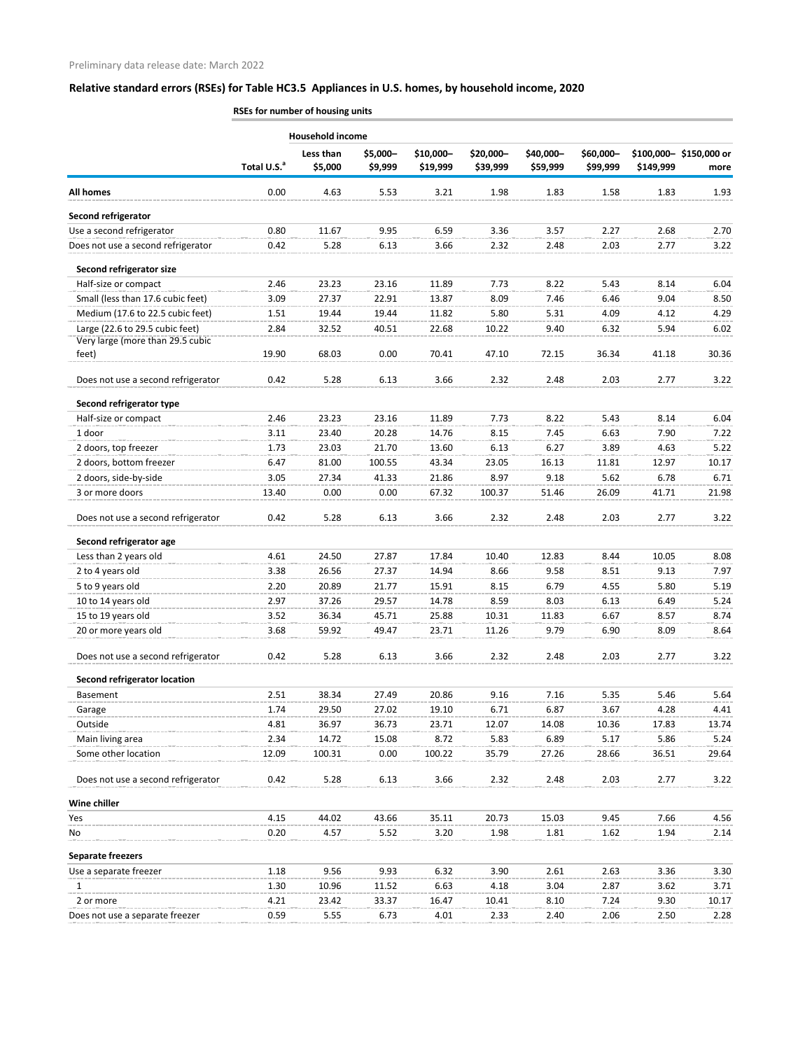|                                                                     | באוווס אוונטשטו ושירושו וטו כשכח |                         |                     |                       |                       |                       |                       |           |                                |
|---------------------------------------------------------------------|----------------------------------|-------------------------|---------------------|-----------------------|-----------------------|-----------------------|-----------------------|-----------|--------------------------------|
|                                                                     |                                  | <b>Household income</b> |                     |                       |                       |                       |                       |           |                                |
|                                                                     | Total U.S. <sup>a</sup>          | Less than<br>\$5,000    | \$5,000-<br>\$9,999 | \$10,000-<br>\$19,999 | \$20,000-<br>\$39,999 | \$40,000-<br>\$59,999 | \$60,000-<br>\$99,999 | \$149,999 | \$100,000-\$150,000 or<br>more |
| <b>All homes</b>                                                    | 0.00                             | 4.63                    | 5.53                | 3.21                  | 1.98                  | 1.83                  | 1.58                  | 1.83      | 1.93                           |
| Second refrigerator                                                 |                                  |                         |                     |                       |                       |                       |                       |           |                                |
| Use a second refrigerator                                           | 0.80                             | 11.67                   | 9.95                | 6.59                  | 3.36                  | 3.57                  | 2.27                  | 2.68      | 2.70                           |
| Does not use a second refrigerator                                  | 0.42                             | 5.28                    | 6.13                | 3.66                  | 2.32                  | 2.48                  | 2.03                  | 2.77      | 3.22                           |
| Second refrigerator size                                            |                                  |                         |                     |                       |                       |                       |                       |           |                                |
| Half-size or compact                                                | 2.46                             | 23.23                   | 23.16               | 11.89                 | 7.73                  | 8.22                  | 5.43                  | 8.14      | 6.04                           |
| Small (less than 17.6 cubic feet)                                   | 3.09                             | 27.37                   | 22.91               | 13.87                 | 8.09                  | 7.46                  | 6.46                  | 9.04      | 8.50                           |
| Medium (17.6 to 22.5 cubic feet)                                    | 1.51                             | 19.44                   | 19.44               | 11.82                 | 5.80                  | 5.31                  | 4.09                  | 4.12      | 4.29                           |
| Large (22.6 to 29.5 cubic feet)<br>Very large (more than 29.5 cubic | 2.84                             | 32.52                   | 40.51               | 22.68                 | 10.22                 | 9.40                  | 6.32                  | 5.94      | 6.02                           |
| feet)                                                               | 19.90                            | 68.03                   | 0.00                | 70.41                 | 47.10                 | 72.15                 | 36.34                 | 41.18     | 30.36                          |
|                                                                     |                                  |                         |                     |                       |                       |                       |                       |           |                                |
| Does not use a second refrigerator                                  | 0.42                             | 5.28                    | 6.13                | 3.66                  | 2.32                  | 2.48                  | 2.03                  | 2.77      | 3.22                           |
| Second refrigerator type                                            |                                  |                         |                     |                       |                       |                       |                       |           |                                |
| Half-size or compact                                                | 2.46                             | 23.23                   | 23.16               | 11.89                 | 7.73                  | 8.22                  | 5.43                  | 8.14      | 6.04                           |
| 1 door                                                              | 3.11                             | 23.40                   | 20.28               | 14.76                 | 8.15                  | 7.45                  | 6.63                  | 7.90      | 7.22                           |
| 2 doors, top freezer                                                | 1.73                             | 23.03                   | 21.70               | 13.60                 | 6.13                  | 6.27                  | 3.89                  | 4.63      | 5.22                           |
| 2 doors, bottom freezer                                             | 6.47                             | 81.00                   | 100.55              | 43.34                 | 23.05                 | 16.13                 | 11.81                 | 12.97     | 10.17                          |
| 2 doors, side-by-side                                               | 3.05                             | 27.34                   | 41.33               | 21.86                 | 8.97                  | 9.18                  | 5.62                  | 6.78      | 6.71                           |
| 3 or more doors                                                     | 13.40                            | 0.00                    | 0.00                | 67.32                 | 100.37                | 51.46                 | 26.09                 | 41.71     | 21.98                          |
| Does not use a second refrigerator                                  | 0.42                             | 5.28                    | 6.13                | 3.66                  | 2.32                  | 2.48                  | 2.03                  | 2.77      | 3.22                           |
| Second refrigerator age                                             |                                  |                         |                     |                       |                       |                       |                       |           |                                |
| Less than 2 years old                                               | 4.61                             | 24.50                   | 27.87               | 17.84                 | 10.40                 | 12.83                 | 8.44                  | 10.05     | 8.08                           |
| 2 to 4 years old                                                    | 3.38                             | 26.56                   | 27.37               | 14.94                 | 8.66                  | 9.58                  | 8.51                  | 9.13      | 7.97                           |
| 5 to 9 years old                                                    | 2.20                             | 20.89                   | 21.77               | 15.91                 | 8.15                  | 6.79                  | 4.55                  | 5.80      | 5.19                           |
| 10 to 14 years old                                                  | 2.97                             | 37.26                   | 29.57               | 14.78                 | 8.59                  | 8.03                  | 6.13                  | 6.49      | 5.24                           |
| 15 to 19 years old                                                  | 3.52                             | 36.34                   | 45.71               | 25.88                 | 10.31                 | 11.83                 | 6.67                  | 8.57      | 8.74                           |
| 20 or more years old                                                | 3.68                             | 59.92                   | 49.47               | 23.71                 | 11.26                 | 9.79                  | 6.90                  | 8.09      | 8.64                           |
| Does not use a second refrigerator                                  | 0.42                             | 5.28                    | 6.13                | 3.66                  | 2.32                  | 2.48                  | 2.03                  | 2.77      | 3.22                           |
| <b>Second refrigerator location</b>                                 |                                  |                         |                     |                       |                       |                       |                       |           |                                |
| Basement                                                            | 2.51                             | 38.34                   | 27.49               | 20.86                 | 9.16                  | 7.16                  | 5.35                  | 5.46      | 5.64                           |
| Garage                                                              | 1.74                             | 29.50                   | 27.02               | 19.10                 | 6.71                  | 6.87                  | 3.67                  | 4.28      | 4.41                           |
| Outside                                                             | 4.81                             | 36.97                   | 36.73               | 23.71                 | 12.07                 | 14.08                 | 10.36                 | 17.83     | 13.74                          |
| Main living area                                                    | 2.34                             | 14.72                   | 15.08               | 8.72                  | 5.83                  | 6.89                  | 5.17                  | 5.86      | 5.24                           |
| Some other location                                                 | 12.09                            | 100.31                  | 0.00                | 100.22                | 35.79                 | 27.26                 | 28.66                 | 36.51     | 29.64                          |
| Does not use a second refrigerator                                  | 0.42                             | 5.28                    | 6.13                | 3.66                  | 2.32                  | 2.48                  | 2.03                  | 2.77      | 3.22                           |
| Wine chiller                                                        |                                  |                         |                     |                       |                       |                       |                       |           |                                |
| Yes                                                                 | 4.15                             | 44.02                   | 43.66               | 35.11                 | 20.73                 | 15.03                 | 9.45                  | 7.66      | 4.56                           |
| No                                                                  | 0.20                             | 4.57                    | 5.52                | 3.20                  | 1.98                  | 1.81                  | 1.62                  | 1.94      | 2.14                           |
| <b>Separate freezers</b>                                            |                                  |                         |                     |                       |                       |                       |                       |           |                                |
| Use a separate freezer                                              | 1.18                             | 9.56                    | 9.93                | 6.32                  | 3.90                  | 2.61                  | 2.63                  | 3.36      | 3.30                           |
| 1                                                                   | 1.30                             | 10.96                   | 11.52               | 6.63                  | 4.18                  | 3.04                  | 2.87                  | 3.62      | 3.71                           |
| 2 or more                                                           | 4.21                             | 23.42                   | 33.37               | 16.47                 | 10.41                 | 8.10                  | 7.24                  | 9.30      | 10.17                          |
| Does not use a separate freezer                                     | 0.59                             | 5.55                    | 6.73                | 4.01                  | 2.33                  | 2.40                  | 2.06                  | 2.50      | 2.28                           |

**RSEs for number of housing units**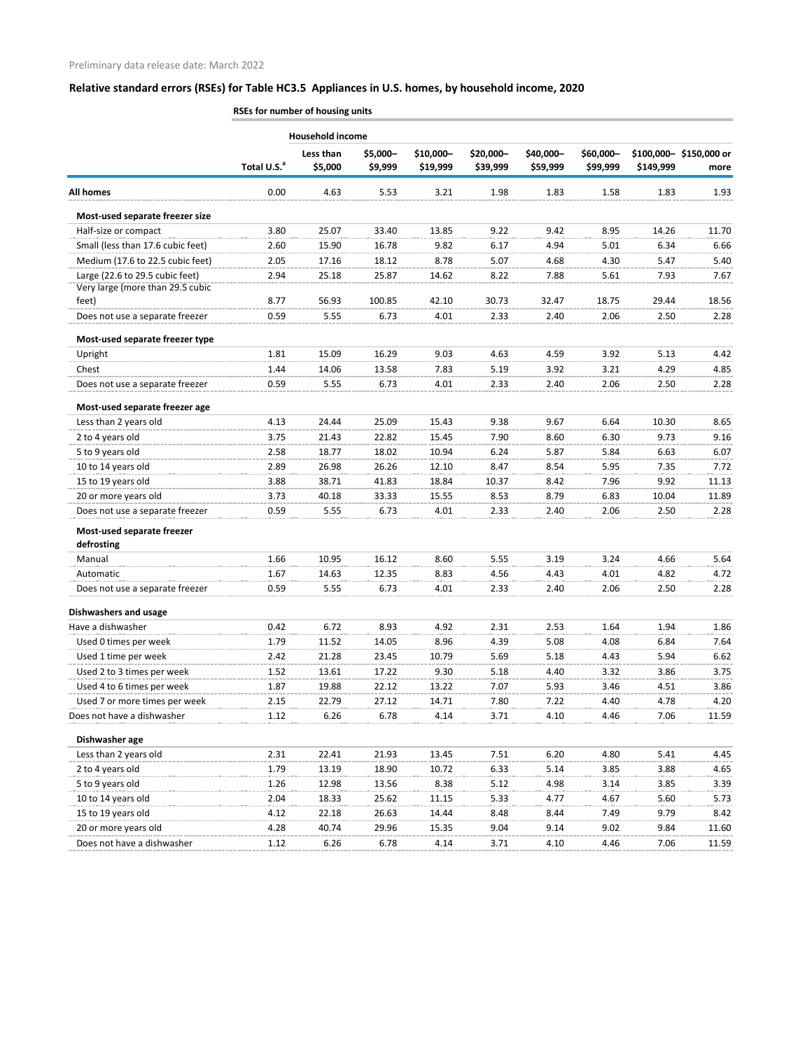|                                          | RSEs for number of housing units |                      |                     |                       |                       |                       |                       |           |                                |  |
|------------------------------------------|----------------------------------|----------------------|---------------------|-----------------------|-----------------------|-----------------------|-----------------------|-----------|--------------------------------|--|
|                                          | <b>Household income</b>          |                      |                     |                       |                       |                       |                       |           |                                |  |
|                                          | Total U.S. <sup>a</sup>          | Less than<br>\$5,000 | \$5,000-<br>\$9,999 | \$10,000-<br>\$19,999 | \$20,000-<br>\$39,999 | \$40,000-<br>\$59,999 | \$60,000-<br>\$99,999 | \$149,999 | \$100,000-\$150,000 or<br>more |  |
| <b>All homes</b>                         | 0.00                             | 4.63                 | 5.53                | 3.21                  | 1.98                  | 1.83                  | 1.58                  | 1.83      | 1.93                           |  |
| Most-used separate freezer size          |                                  |                      |                     |                       |                       |                       |                       |           |                                |  |
| Half-size or compact                     | 3.80                             | 25.07                | 33.40               | 13.85                 | 9.22                  | 9.42                  | 8.95                  | 14.26     | 11.70                          |  |
| Small (less than 17.6 cubic feet)        | 2.60                             | 15.90                | 16.78               | 9.82                  | 6.17                  | 4.94                  | 5.01                  | 6.34      | 6.66                           |  |
| Medium (17.6 to 22.5 cubic feet)         | 2.05                             | 17.16                | 18.12               | 8.78                  | 5.07                  | 4.68                  | 4.30                  | 5.47      | 5.40                           |  |
| Large (22.6 to 29.5 cubic feet)          | 2.94                             | 25.18                | 25.87               | 14.62                 | 8.22                  | 7.88                  | 5.61                  | 7.93      | 7.67                           |  |
| Very large (more than 29.5 cubic         |                                  |                      |                     |                       |                       |                       |                       |           |                                |  |
| feet)                                    | 8.77                             | 56.93                | 100.85              | 42.10                 | 30.73                 | 32.47                 | 18.75                 | 29.44     | 18.56                          |  |
| Does not use a separate freezer          | 0.59                             | 5.55                 | 6.73                | 4.01                  | 2.33                  | 2.40                  | 2.06                  | 2.50      | 2.28                           |  |
| Most-used separate freezer type          |                                  |                      |                     |                       |                       |                       |                       |           |                                |  |
| Upright                                  | 1.81                             | 15.09                | 16.29               | 9.03                  | 4.63                  | 4.59                  | 3.92                  | 5.13      | 4.42                           |  |
| Chest                                    | 1.44                             | 14.06                | 13.58               | 7.83                  | 5.19                  | 3.92                  | 3.21                  | 4.29      | 4.85                           |  |
| Does not use a separate freezer          | 0.59                             | 5.55                 | 6.73                | 4.01                  | 2.33                  | 2.40                  | 2.06                  | 2.50      | 2.28                           |  |
| Most-used separate freezer age           |                                  |                      |                     |                       |                       |                       |                       |           |                                |  |
| Less than 2 years old                    | 4.13                             | 24.44                | 25.09               | 15.43                 | 9.38                  | 9.67                  | 6.64                  | 10.30     | 8.65                           |  |
| 2 to 4 years old                         | 3.75                             | 21.43                | 22.82               | 15.45                 | 7.90                  | 8.60                  | 6.30                  | 9.73      | 9.16                           |  |
| 5 to 9 years old                         | 2.58                             | 18.77                | 18.02               | 10.94                 | 6.24                  | 5.87                  | 5.84                  | 6.63      | 6.07                           |  |
| 10 to 14 years old                       | 2.89                             | 26.98                | 26.26               | 12.10                 | 8.47                  | 8.54                  | 5.95                  | 7.35      | 7.72                           |  |
| 15 to 19 years old                       | 3.88                             | 38.71                | 41.83               | 18.84                 | 10.37                 | 8.42                  | 7.96                  | 9.92      | 11.13                          |  |
| 20 or more years old                     | 3.73                             | 40.18                | 33.33               | 15.55                 | 8.53                  | 8.79                  | 6.83                  | 10.04     | 11.89                          |  |
| Does not use a separate freezer          | 0.59                             | 5.55                 | 6.73                | 4.01                  | 2.33                  | 2.40                  | 2.06                  | 2.50      | 2.28                           |  |
| Most-used separate freezer<br>defrosting |                                  |                      |                     |                       |                       |                       |                       |           |                                |  |
| Manual                                   | 1.66                             | 10.95                |                     |                       | 5.55                  |                       |                       |           | 5.64                           |  |
|                                          |                                  |                      | 16.12               | 8.60                  |                       | 3.19                  | 3.24                  | 4.66      |                                |  |
| Automatic                                | 1.67                             | 14.63                | 12.35               | 8.83                  | 4.56                  | 4.43                  | 4.01                  | 4.82      | 4.72                           |  |
| Does not use a separate freezer          | 0.59                             | 5.55                 | 6.73                | 4.01                  | 2.33                  | 2.40                  | 2.06                  | 2.50      | 2.28                           |  |
| <b>Dishwashers and usage</b>             |                                  |                      |                     |                       |                       |                       |                       |           |                                |  |
| Have a dishwasher                        | 0.42                             | 6.72                 | 8.93                | 4.92                  | 2.31                  | 2.53                  | 1.64                  | 1.94      | 1.86                           |  |
| Used 0 times per week                    | 1.79                             | 11.52                | 14.05               | 8.96                  | 4.39                  | 5.08                  | 4.08                  | 6.84      | 7.64                           |  |
| Used 1 time per week                     | 2.42                             | 21.28                | 23.45               | 10.79                 | 5.69                  | 5.18                  | 4.43                  | 5.94      | 6.62                           |  |
| Used 2 to 3 times per week               | 1.52                             | 13.61                | 17.22               | 9.30                  | 5.18                  | 4.40                  | 3.32                  | 3.86      | 3.75                           |  |
| Used 4 to 6 times per week               | 1.87                             | 19.88                | 22.12               | 13.22                 | 7.07                  | 5.93                  | 3.46                  | 4.51      | 3.86                           |  |
| Used 7 or more times per week            | 2.15                             | 22.79                | 27.12               | 14.71                 | 7.80                  | 7.22                  | 4.40                  | 4.78      | 4.20                           |  |
| Does not have a dishwasher               | 1.12                             | 6.26                 | 6.78                | 4.14                  | 3.71                  | 4.10                  | 4.46                  | 7.06      | 11.59                          |  |
| Dishwasher age                           |                                  |                      |                     |                       |                       |                       |                       |           |                                |  |
| Less than 2 years old                    | 2.31                             | 22.41                | 21.93               | 13.45                 | 7.51                  | 6.20                  | 4.80                  | 5.41      | 4.45                           |  |
| 2 to 4 years old                         | 1.79                             | 13.19                | 18.90               | 10.72                 | 6.33                  | 5.14                  | 3.85                  | 3.88      | 4.65                           |  |
| 5 to 9 years old                         | 1.26                             | 12.98                | 13.56               | 8.38                  | 5.12                  | 4.98                  | 3.14                  | 3.85      | 3.39                           |  |
| 10 to 14 years old                       | 2.04                             | 18.33                | 25.62               | 11.15                 | 5.33                  | 4.77                  | 4.67                  | 5.60      | 5.73                           |  |
| 15 to 19 years old                       | 4.12                             | 22.18                | 26.63               | 14.44                 | 8.48                  | 8.44                  | 7.49                  | 9.79      | 8.42                           |  |
| 20 or more years old                     | 4.28                             | 40.74                | 29.96               | 15.35                 | 9.04                  | 9.14                  | 9.02                  | 9.84      | 11.60                          |  |
| Does not have a dishwasher               | 1.12                             | 6.26                 | 6.78                | 4.14                  | 3.71                  | 4.10                  | 4.46                  | 7.06      | 11.59                          |  |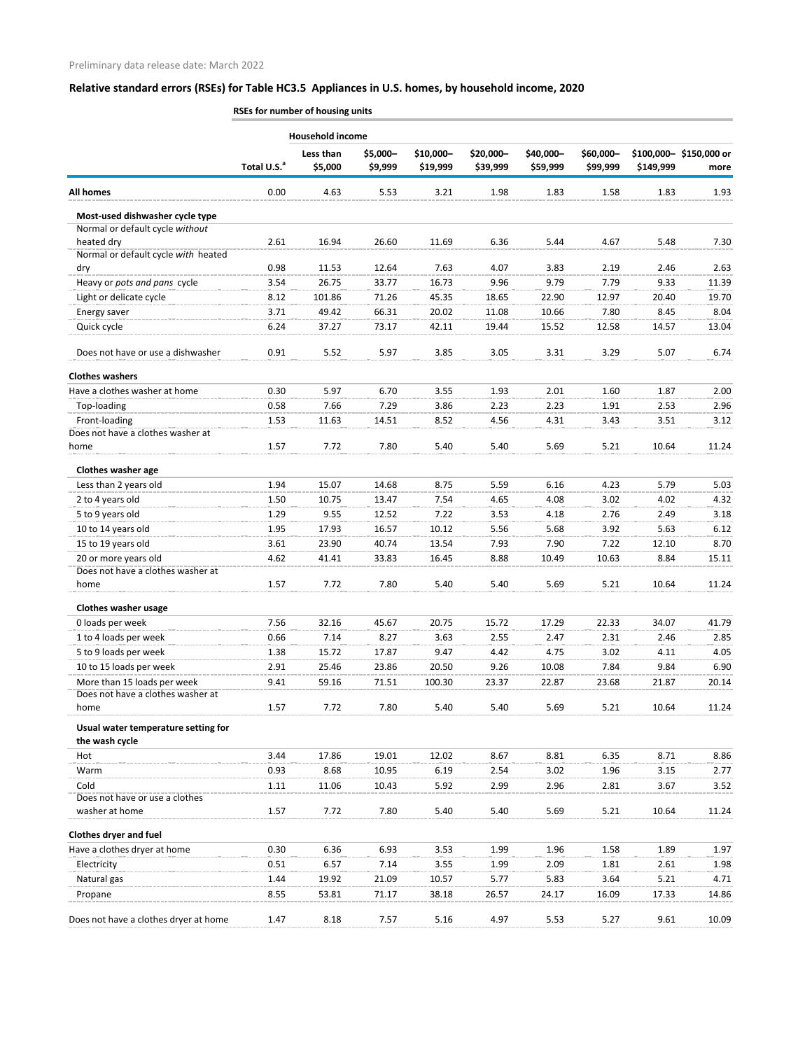Total U.S.<sup>a</sup> **Less than \$5,000 \$5,000– \$9,999 \$10,000– \$19,999 \$20,000– \$39,999 \$40,000– \$59,999 \$60,000– \$99,999 \$100,000– \$150,000 or \$149,999 more All homes** 0.00 4.63 5.53 3.21 1.98 1.83 1.58 1.83 1.93 **RSEs for number of housing units Household income Most-used dishwasher cycle type** Normal or default cycle *without*  heated dry 2.61 16.94 26.60 11.69 6.36 5.44 4.67 5.48 7.30 Normal or default cycle *with* heated dry 0.98 11.53 12.64 7.63 4.07 3.83 2.19 2.46 2.63 Heavy or *pots and pans* cycle 3.54 26.75 33.77 16.73 9.96 9.79 7.79 9.33 11.39 Light or delicate cycle 8.12 101.86 71.26 45.35 18.65 22.90 12.97 20.40 19.70 Energy saver 3.71 49.42 66.31 20.02 11.08 10.66 7.80 8.45 8.04 Quick cycle 6.24 37.27 73.17 42.11 19.44 15.52 12.58 14.57 13.04 Does not have or use a dishwasher 0.91 5.52 5.97 3.85 3.05 3.31 3.29 5.07 6.74 **Clothes washers** Have a clothes washer at home 0.30 5.97 6.70 3.55 1.93 2.01 1.60 1.87 2.00 Top-loading 0.58 7.66 7.29 3.86 2.23 2.23 1.91 2.53 2.96 Front-loading 1.53 11.63 14.51 8.52 4.56 4.31 3.43 3.51 3.12 Does not have a clothes washer at home 1.57 7.72 7.80 5.40 5.40 5.69 5.21 10.64 11.24 **Clothes washer age** Less than 2 years old **1.94** 15.07 14.68 8.75 5.59 6.16 4.23 5.79 5.03 2 to 4 years old 1.50 10.75 13.47 7.54 4.65 4.08 3.02 4.02 4.32 5 to 9 years old 1.29 9.55 12.52 7.22 3.53 4.18 2.76 2.49 3.18 10 to 14 years old 1.95 17.93 16.57 10.12 5.56 5.68 3.92 5.63 6.12 15 to 19 years old 3.61 23.90 40.74 13.54 7.93 7.90 7.22 12.10 8.70 20 or more years old 4.62 41.41 33.83 16.45 8.88 10.49 10.63 8.84 15.11 Does not have a clothes washer at home 1.57 7.72 7.80 5.40 5.40 5.69 5.21 10.64 11.24 **Clothes washer usage** 0 loads per week 7.56 32.16 45.67 20.75 15.72 17.29 22.33 34.07 41.79 1 to 4 loads per week 0.66 7.14 8.27 3.63 2.55 2.47 2.31 2.46 2.85 5 to 9 loads per week 1.38 15.72 17.87 9.47 4.42 4.75 3.02 4.11 4.05 10 to 15 loads per week 2.91 25.46 23.86 20.50 9.26 10.08 7.84 9.84 6.90 More than 15 loads per week **9.41** 59.16 71.51 100.30 23.37 22.87 23.68 21.87 20.14 Does not have a clothes washer at home 1.57 7.72 7.80 5.40 5.40 5.69 5.21 10.64 11.24 **Usual water temperature setting for the wash cycle** Hot 3.44 17.86 19.01 12.02 8.67 8.81 6.35 8.71 8.86 Warm 0.93 8.68 10.95 6.19 2.54 3.02 1.96 3.15 2.77 Cold 1.11 11.06 10.43 5.92 2.99 2.96 2.81 3.67 3.52 Does not have or use a clothes washer at home **1.57** 1.57 1.72 7.80 5.40 5.40 5.69 5.21 10.64 11.24 **Clothes dryer and fuel** Have a clothes dryer at home **0.30** 6.36 6.93 3.53 1.99 1.96 1.58 1.89 1.97 Electricity 0.51 6.57 7.14 3.55 1.99 2.09 1.81 2.61 1.98 Natural gas 1.44 19.92 21.09 10.57 5.77 5.83 3.64 5.21 4.71 Propane 8.55 53.81 71.17 38.18 26.57 24.17 16.09 17.33 14.86 Does not have a clothes dryer at home  $1.47$  8.18 7.57 5.16 4.97 5.53 5.27 9.61 10.09